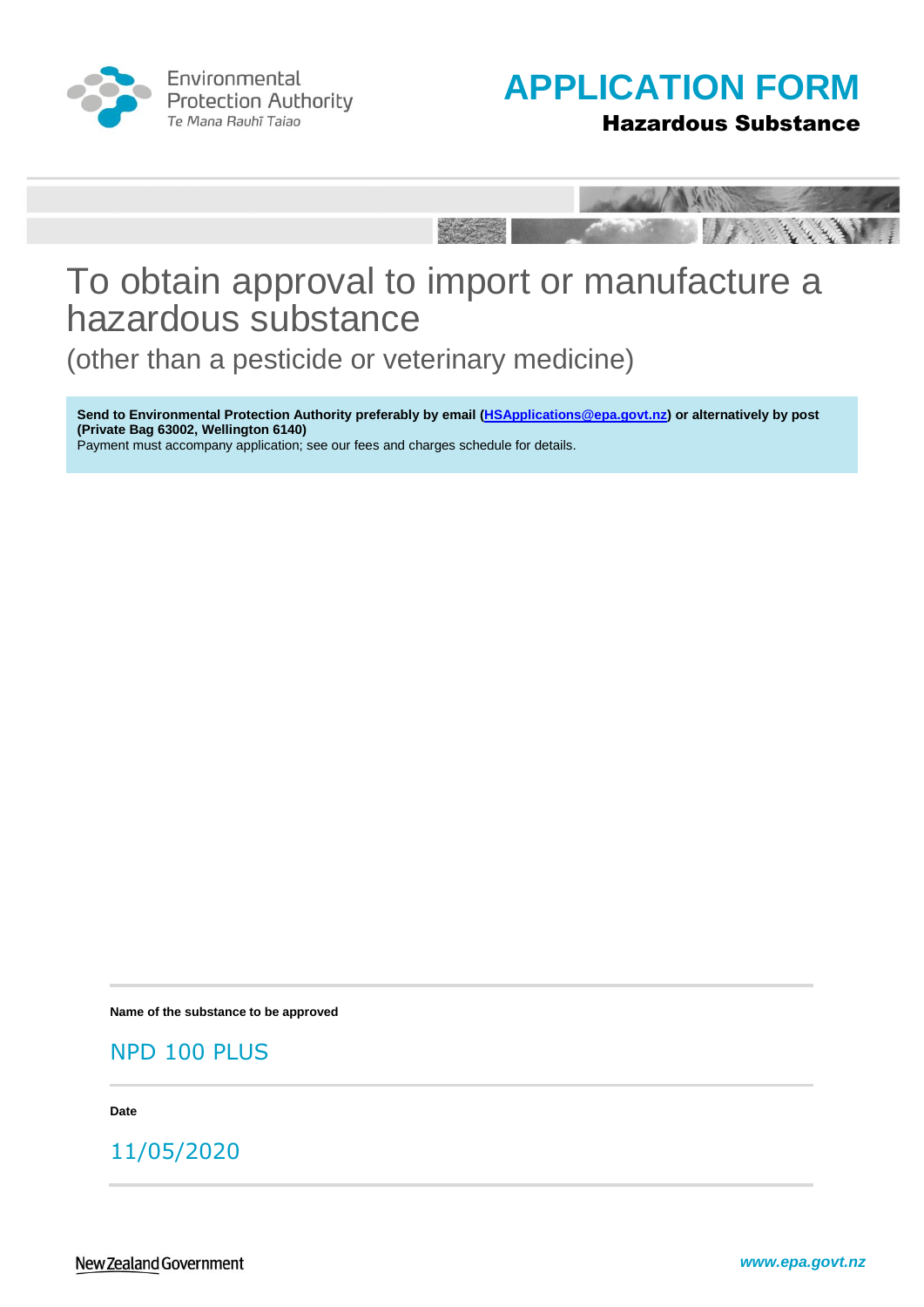

Environmental **Protection Authority** Te Mana Rauhī Tajao



Hazardous Substance



# To obtain approval to import or manufacture a hazardous substance

(other than a pesticide or veterinary medicine)

**Send to Environmental Protection Authority preferably by email [\(HSApplications@epa.govt.nz\)](mailto:HSApplications@epa.govt.nz) or alternatively by post (Private Bag 63002, Wellington 6140)** Payment must accompany application; see our fees and charges schedule for details.

**Name of the substance to be approved**

NPD 100 PLUS

**Date**

11/05/2020

New Zealand Government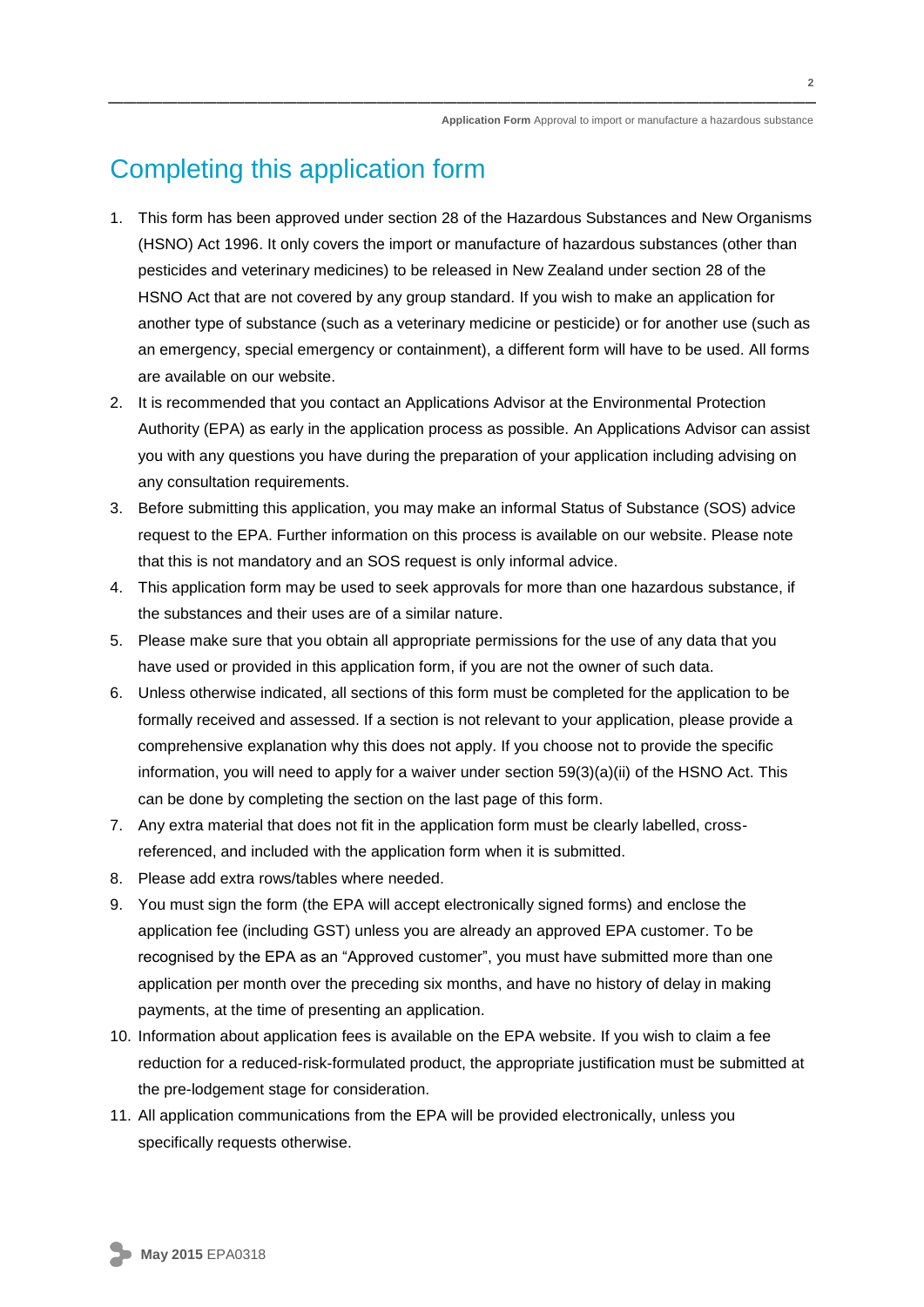## Completing this application form

- 1. This form has been approved under section 28 of the Hazardous Substances and New Organisms (HSNO) Act 1996. It only covers the import or manufacture of hazardous substances (other than pesticides and veterinary medicines) to be released in New Zealand under section 28 of the HSNO Act that are not covered by any group standard. If you wish to make an application for another type of substance (such as a veterinary medicine or pesticide) or for another use (such as an emergency, special emergency or containment), a different form will have to be used. All forms are available on our website.
- 2. It is recommended that you contact an Applications Advisor at the Environmental Protection Authority (EPA) as early in the application process as possible. An Applications Advisor can assist you with any questions you have during the preparation of your application including advising on any consultation requirements.
- 3. Before submitting this application, you may make an informal Status of Substance (SOS) advice request to the EPA. Further information on this process is available on our website. Please note that this is not mandatory and an SOS request is only informal advice.
- 4. This application form may be used to seek approvals for more than one hazardous substance, if the substances and their uses are of a similar nature.
- 5. Please make sure that you obtain all appropriate permissions for the use of any data that you have used or provided in this application form, if you are not the owner of such data.
- 6. Unless otherwise indicated, all sections of this form must be completed for the application to be formally received and assessed. If a section is not relevant to your application, please provide a comprehensive explanation why this does not apply. If you choose not to provide the specific information, you will need to apply for a waiver under section 59(3)(a)(ii) of the HSNO Act. This can be done by completing the section on the last page of this form.
- 7. Any extra material that does not fit in the application form must be clearly labelled, crossreferenced, and included with the application form when it is submitted.
- 8. Please add extra rows/tables where needed.
- 9. You must sign the form (the EPA will accept electronically signed forms) and enclose the application fee (including GST) unless you are already an approved EPA customer. To be recognised by the EPA as an "Approved customer", you must have submitted more than one application per month over the preceding six months, and have no history of delay in making payments, at the time of presenting an application.
- 10. Information about application fees is available on the EPA website. If you wish to claim a fee reduction for a reduced-risk-formulated product, the appropriate justification must be submitted at the pre-lodgement stage for consideration.
- 11. All application communications from the EPA will be provided electronically, unless you specifically requests otherwise.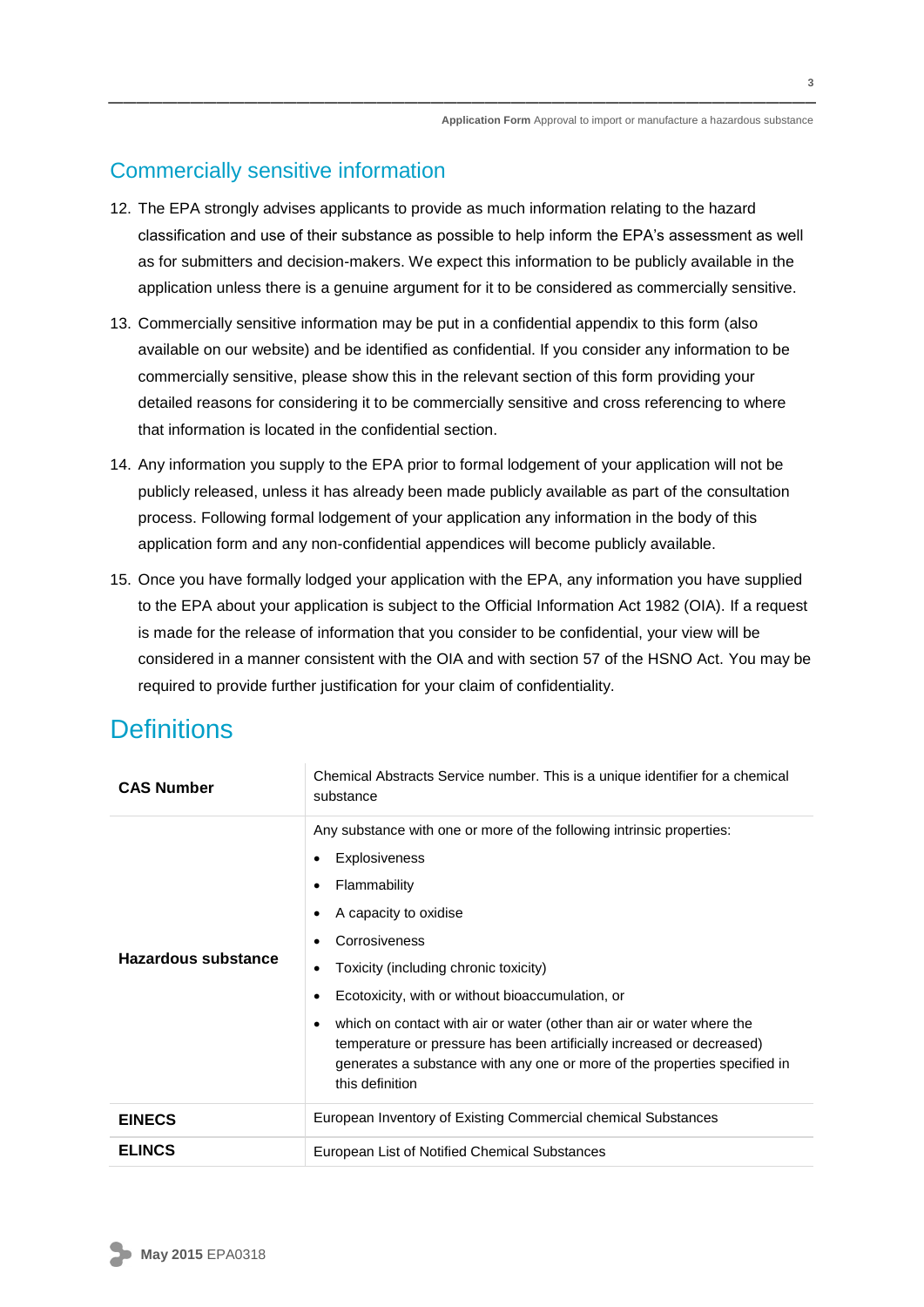### Commercially sensitive information

- 12. The EPA strongly advises applicants to provide as much information relating to the hazard classification and use of their substance as possible to help inform the EPA's assessment as well as for submitters and decision-makers. We expect this information to be publicly available in the application unless there is a genuine argument for it to be considered as commercially sensitive.
- 13. Commercially sensitive information may be put in a confidential appendix to this form (also available on our website) and be identified as confidential. If you consider any information to be commercially sensitive, please show this in the relevant section of this form providing your detailed reasons for considering it to be commercially sensitive and cross referencing to where that information is located in the confidential section.
- 14. Any information you supply to the EPA prior to formal lodgement of your application will not be publicly released, unless it has already been made publicly available as part of the consultation process. Following formal lodgement of your application any information in the body of this application form and any non-confidential appendices will become publicly available.
- 15. Once you have formally lodged your application with the EPA, any information you have supplied to the EPA about your application is subject to the Official Information Act 1982 (OIA). If a request is made for the release of information that you consider to be confidential, your view will be considered in a manner consistent with the OIA and with section 57 of the HSNO Act. You may be required to provide further justification for your claim of confidentiality.

### **Definitions**

| <b>CAS Number</b>   | Chemical Abstracts Service number. This is a unique identifier for a chemical<br>substance                                                                                                                                                                                                                                                                                                                                                                                                      |  |  |  |  |  |
|---------------------|-------------------------------------------------------------------------------------------------------------------------------------------------------------------------------------------------------------------------------------------------------------------------------------------------------------------------------------------------------------------------------------------------------------------------------------------------------------------------------------------------|--|--|--|--|--|
| Hazardous substance | Any substance with one or more of the following intrinsic properties:<br>Explosiveness<br>Flammability<br>A capacity to oxidise<br>Corrosiveness<br>Toxicity (including chronic toxicity)<br>Ecotoxicity, with or without bioaccumulation, or<br>which on contact with air or water (other than air or water where the<br>temperature or pressure has been artificially increased or decreased)<br>generates a substance with any one or more of the properties specified in<br>this definition |  |  |  |  |  |
| <b>EINECS</b>       | European Inventory of Existing Commercial chemical Substances                                                                                                                                                                                                                                                                                                                                                                                                                                   |  |  |  |  |  |
| <b>ELINCS</b>       | European List of Notified Chemical Substances                                                                                                                                                                                                                                                                                                                                                                                                                                                   |  |  |  |  |  |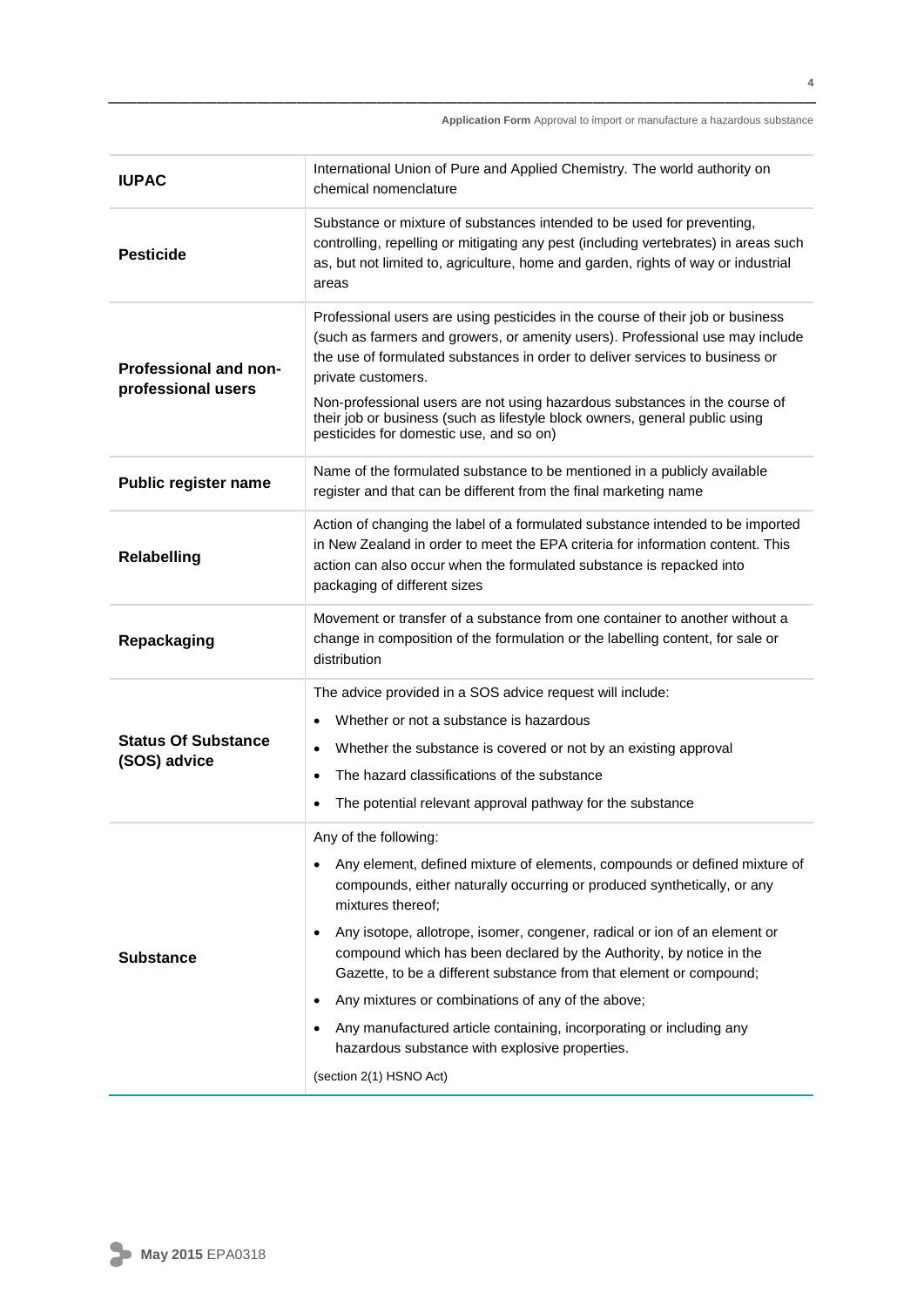| <b>IUPAC</b>                                       | International Union of Pure and Applied Chemistry. The world authority on<br>chemical nomenclature                                                                                                                                                                                                                                                                                                                                                                                                                                                                                                                                                                                 |  |  |  |  |
|----------------------------------------------------|------------------------------------------------------------------------------------------------------------------------------------------------------------------------------------------------------------------------------------------------------------------------------------------------------------------------------------------------------------------------------------------------------------------------------------------------------------------------------------------------------------------------------------------------------------------------------------------------------------------------------------------------------------------------------------|--|--|--|--|
| <b>Pesticide</b>                                   | Substance or mixture of substances intended to be used for preventing,<br>controlling, repelling or mitigating any pest (including vertebrates) in areas such<br>as, but not limited to, agriculture, home and garden, rights of way or industrial<br>areas                                                                                                                                                                                                                                                                                                                                                                                                                        |  |  |  |  |
| <b>Professional and non-</b><br>professional users | Professional users are using pesticides in the course of their job or business<br>(such as farmers and growers, or amenity users). Professional use may include<br>the use of formulated substances in order to deliver services to business or<br>private customers.<br>Non-professional users are not using hazardous substances in the course of<br>their job or business (such as lifestyle block owners, general public using<br>pesticides for domestic use, and so on)                                                                                                                                                                                                      |  |  |  |  |
| <b>Public register name</b>                        | Name of the formulated substance to be mentioned in a publicly available<br>register and that can be different from the final marketing name                                                                                                                                                                                                                                                                                                                                                                                                                                                                                                                                       |  |  |  |  |
| <b>Relabelling</b>                                 | Action of changing the label of a formulated substance intended to be imported<br>in New Zealand in order to meet the EPA criteria for information content. This<br>action can also occur when the formulated substance is repacked into<br>packaging of different sizes                                                                                                                                                                                                                                                                                                                                                                                                           |  |  |  |  |
| Repackaging                                        | Movement or transfer of a substance from one container to another without a<br>change in composition of the formulation or the labelling content, for sale or<br>distribution                                                                                                                                                                                                                                                                                                                                                                                                                                                                                                      |  |  |  |  |
| <b>Status Of Substance</b><br>(SOS) advice         | The advice provided in a SOS advice request will include:<br>Whether or not a substance is hazardous<br>Whether the substance is covered or not by an existing approval<br>$\bullet$<br>The hazard classifications of the substance<br>$\bullet$<br>The potential relevant approval pathway for the substance<br>$\bullet$                                                                                                                                                                                                                                                                                                                                                         |  |  |  |  |
| <b>Substance</b>                                   | Any of the following:<br>Any element, defined mixture of elements, compounds or defined mixture of<br>$\bullet$<br>compounds, either naturally occurring or produced synthetically, or any<br>mixtures thereof;<br>Any isotope, allotrope, isomer, congener, radical or ion of an element or<br>$\bullet$<br>compound which has been declared by the Authority, by notice in the<br>Gazette, to be a different substance from that element or compound;<br>Any mixtures or combinations of any of the above;<br>٠<br>Any manufactured article containing, incorporating or including any<br>$\bullet$<br>hazardous substance with explosive properties.<br>(section 2(1) HSNO Act) |  |  |  |  |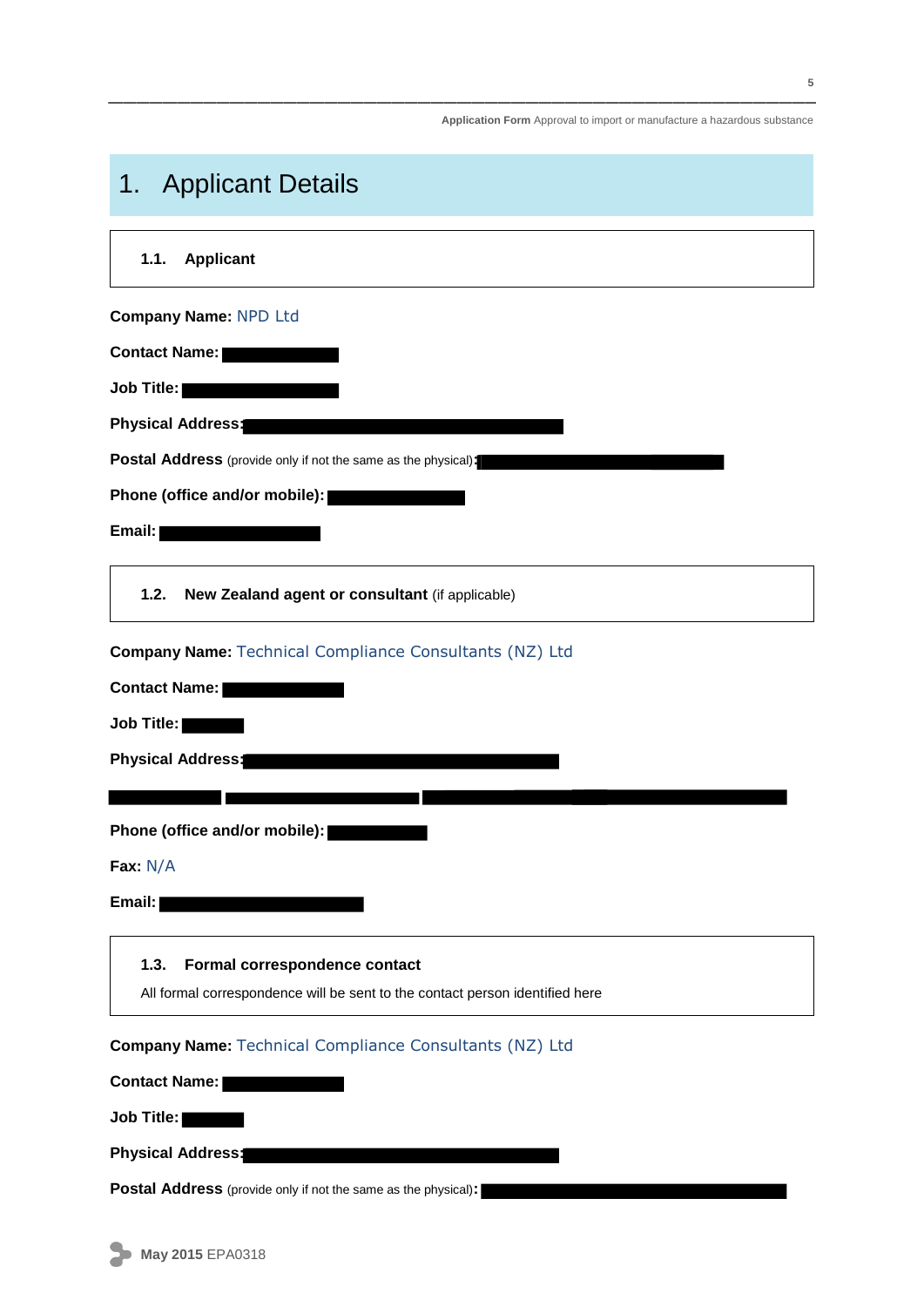## 1. Applicant Details

| 1.1. | <b>Applicant</b> |
|------|------------------|
|      |                  |

**Company Name:** NPD Ltd

**Contact Name:**

**Job Title:**

**Physical Address:**

**Postal Address** (provide only if not the same as the physical)**:**

**Phone (office and/or mobile):**

**Email:**

**1.2. New Zealand agent or consultant** (if applicable)

**Company Name:** Technical Compliance Consultants (NZ) Ltd

**Contact Name:**

**Job Title:**

**Physical Address:**

**Phone (office and/or mobile):**

**Fax:** N/A

**Email:**

#### **1.3. Formal correspondence contact**

All formal correspondence will be sent to the contact person identified here

**Company Name:** Technical Compliance Consultants (NZ) Ltd

**Contact Name:**

**Job Title:**

**Physical Address:**

**Postal Address** (provide only if not the same as the physical)**:**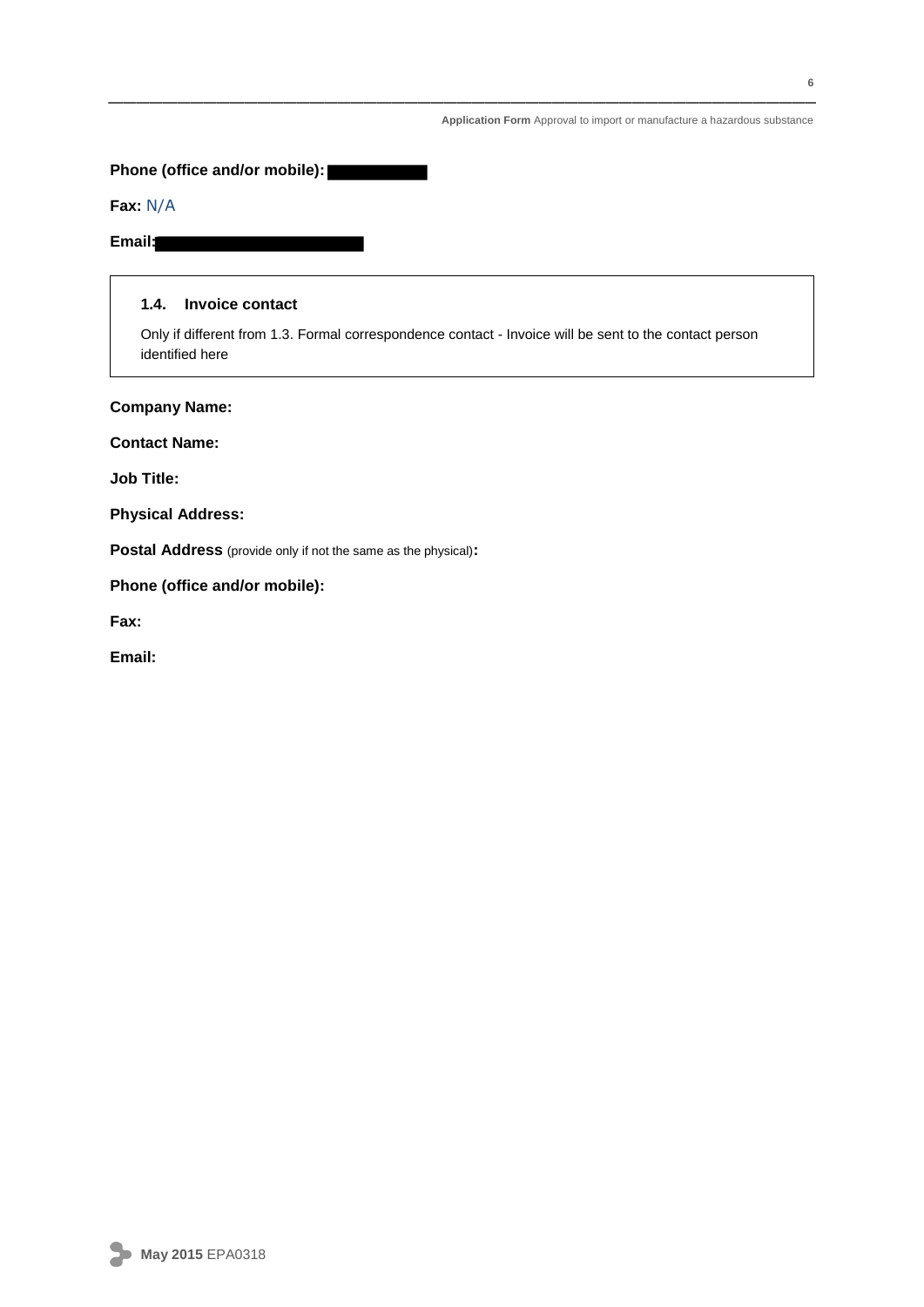**Phone (office and/or mobile):**

#### **Fax:** N/A

#### **Email:**

#### **1.4. Invoice contact**

Only if different from 1.3. Formal correspondence contact - Invoice will be sent to the contact person identified here

**Company Name:**

**Contact Name:**

**Job Title:**

**Physical Address:**

**Postal Address** (provide only if not the same as the physical)**:**

**Phone (office and/or mobile):**

**Fax:**

**Email:**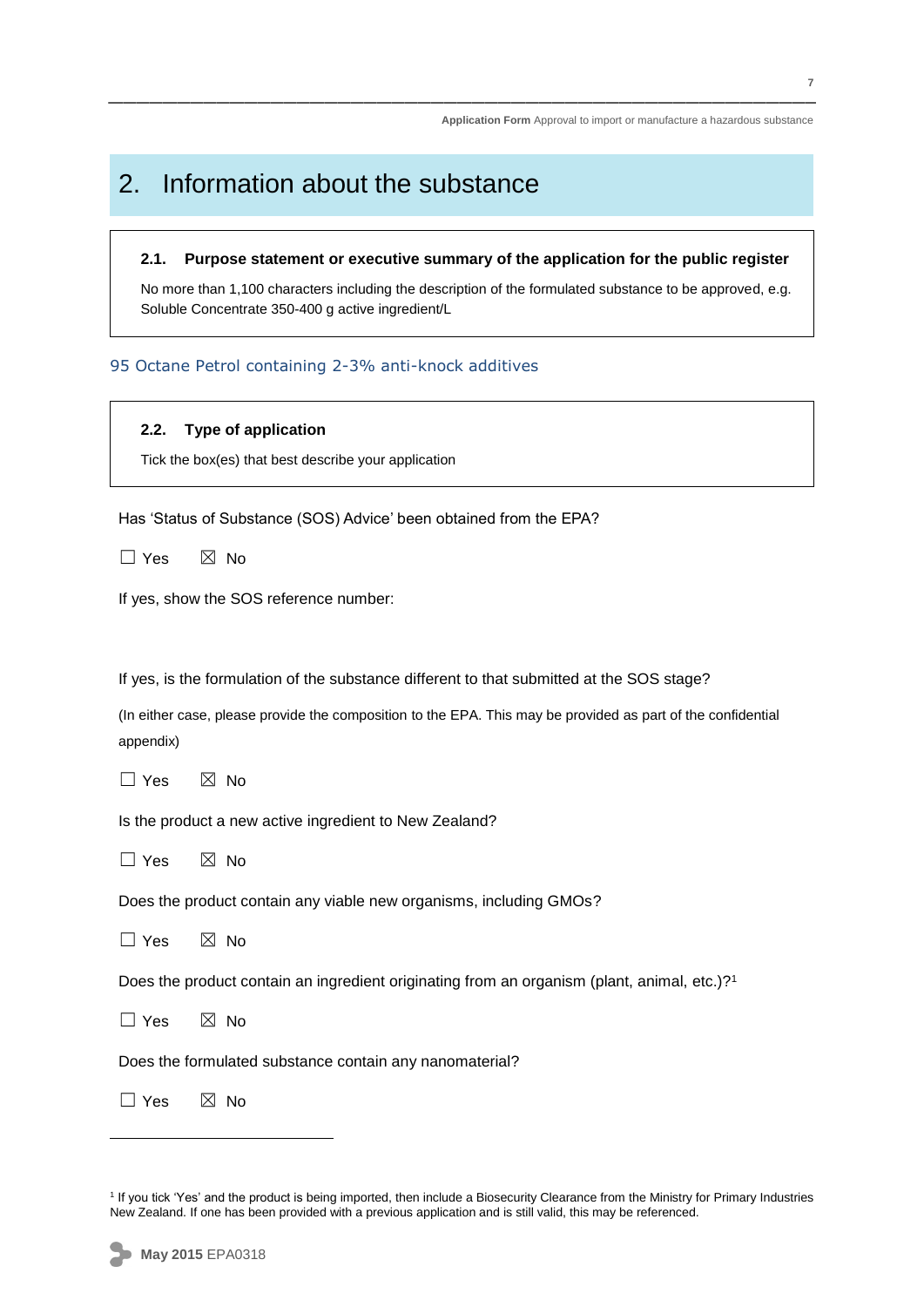## 2. Information about the substance

#### **2.1. Purpose statement or executive summary of the application for the public register**

No more than 1,100 characters including the description of the formulated substance to be approved, e.g. Soluble Concentrate 350-400 g active ingredient/L

#### 95 Octane Petrol containing 2-3% anti-knock additives

#### **2.2. Type of application**

Tick the box(es) that best describe your application

Has 'Status of Substance (SOS) Advice' been obtained from the EPA?

 $\Box$  Yes  $\boxtimes$  No

If yes, show the SOS reference number:

If yes, is the formulation of the substance different to that submitted at the SOS stage?

(In either case, please provide the composition to the EPA. This may be provided as part of the confidential appendix)

 $\Box$  Yes  $\boxtimes$  No

Is the product a new active ingredient to New Zealand?

 $\Box$  Yes  $\boxtimes$  No

Does the product contain any viable new organisms, including GMOs?

 $\Box$  Yes  $\boxtimes$  No

Does the product contain an ingredient originating from an organism (plant, animal, etc.)? 1

 $\Box$  Yes  $\boxtimes$  No

Does the formulated substance contain any nanomaterial?

 $\square$  Yes  $\square$  No

1

<sup>&</sup>lt;sup>1</sup> If you tick 'Yes' and the product is being imported, then include a Biosecurity Clearance from the Ministry for Primary Industries New Zealand. If one has been provided with a previous application and is still valid, this may be referenced.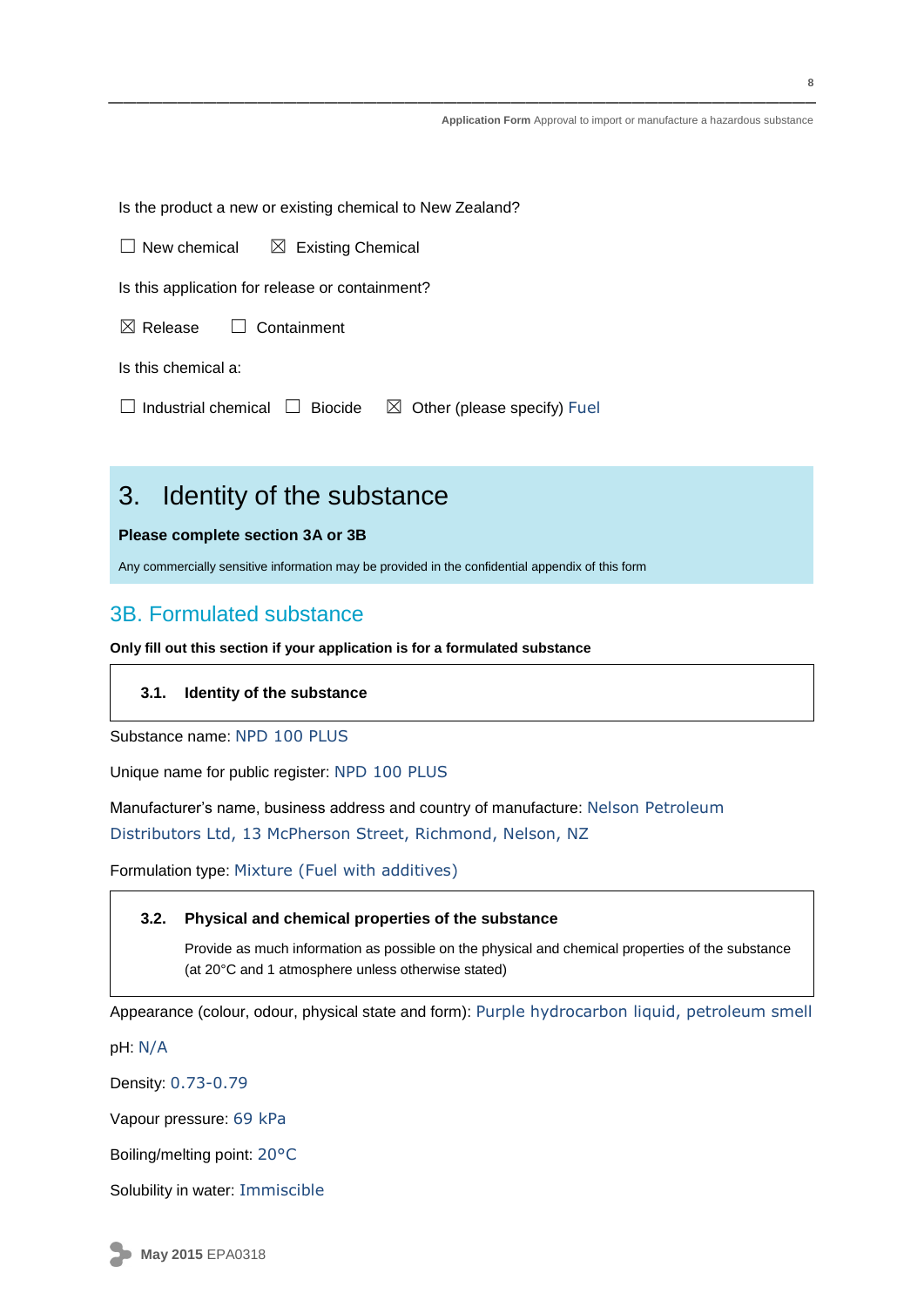Is the product a new or existing chemical to New Zealand?

 $\Box$  New chemical  $\boxtimes$  Existing Chemical

Is this application for release or containment?

 $\boxtimes$  Release  $\Box$  Containment

Is this chemical a:

 $\Box$  Industrial chemical  $\Box$  Biocide  $\boxtimes$  Other (please specify) Fuel

### 3. Identity of the substance

#### **Please complete section 3A or 3B**

Any commercially sensitive information may be provided in the confidential appendix of this form

### 3B. Formulated substance

**Only fill out this section if your application is for a formulated substance** 

#### **3.1. Identity of the substance**

Substance name: NPD 100 PLUS

Unique name for public register: NPD 100 PLUS

Manufacturer's name, business address and country of manufacture: Nelson Petroleum

Distributors Ltd, 13 McPherson Street, Richmond, Nelson, NZ

Formulation type: Mixture (Fuel with additives)

#### **3.2. Physical and chemical properties of the substance**

Provide as much information as possible on the physical and chemical properties of the substance (at 20°C and 1 atmosphere unless otherwise stated)

Appearance (colour, odour, physical state and form): Purple hydrocarbon liquid, petroleum smell

pH: N/A

Density: 0.73-0.79

Vapour pressure: 69 kPa

Boiling/melting point: 20°C

Solubility in water: Immiscible

**May 2015** EPA0318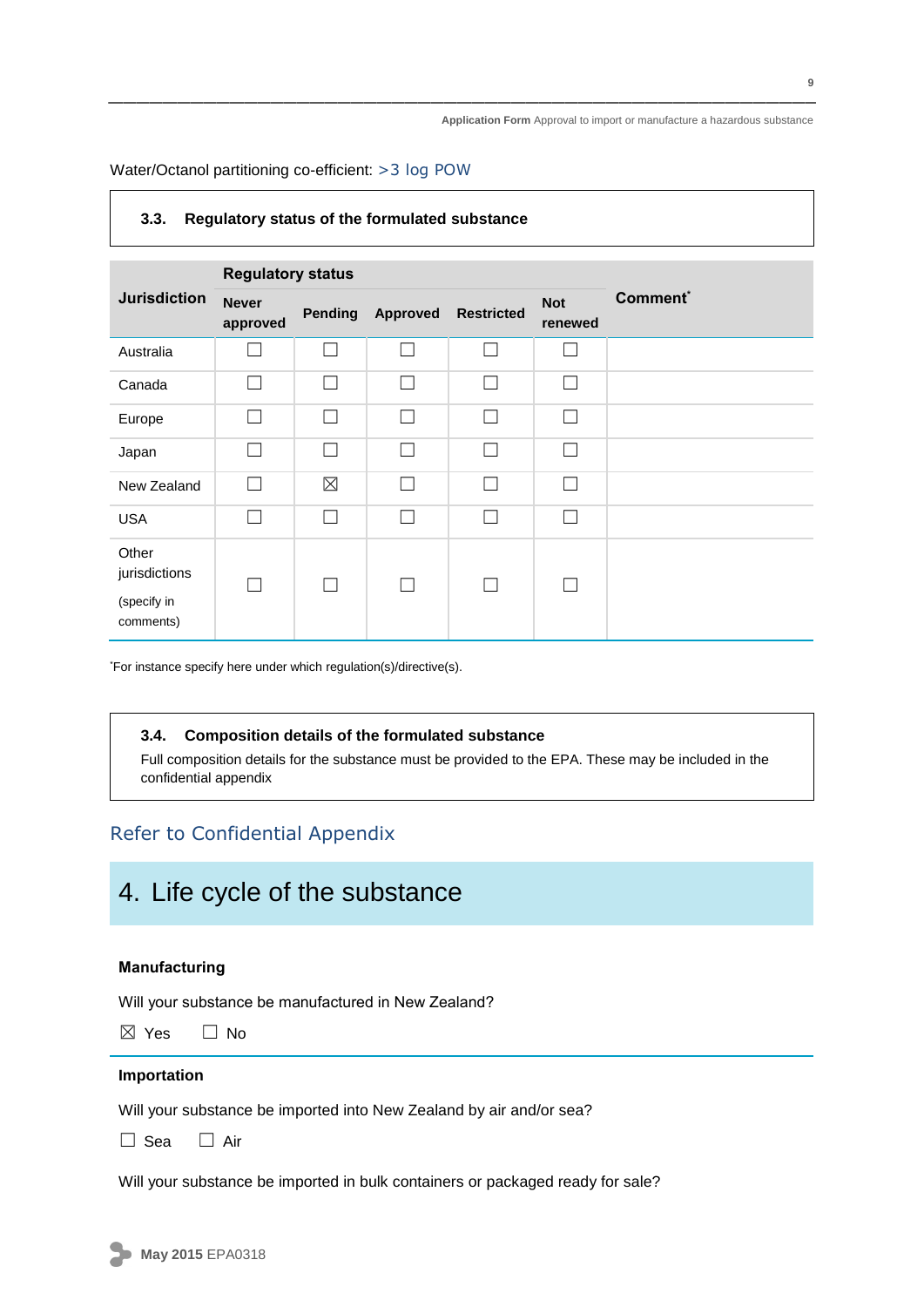Water/Octanol partitioning co-efficient: >3 log POW

#### **3.3. Regulatory status of the formulated substance**

|                                                    | <b>Regulatory status</b> |                          |          |                          |                       |                      |
|----------------------------------------------------|--------------------------|--------------------------|----------|--------------------------|-----------------------|----------------------|
| <b>Jurisdiction</b>                                | <b>Never</b><br>approved | Pending                  | Approved | <b>Restricted</b>        | <b>Not</b><br>renewed | Comment <sup>*</sup> |
| Australia                                          |                          |                          |          |                          | L                     |                      |
| Canada                                             |                          |                          |          | <b>College</b>           |                       |                      |
| Europe                                             |                          |                          |          | $\overline{\phantom{0}}$ | $\mathbf{L}$          |                      |
| Japan                                              |                          | $\overline{\phantom{0}}$ |          | $\mathbf{L}$             | $\mathbf{L}$          |                      |
| New Zealand                                        |                          | $\boxtimes$              |          | $\overline{\phantom{0}}$ | $\mathsf{I}$          |                      |
| <b>USA</b>                                         |                          |                          |          | П                        |                       |                      |
| Other<br>jurisdictions<br>(specify in<br>comments) |                          |                          |          | $\mathbf{L}$             |                       |                      |

\*For instance specify here under which regulation(s)/directive(s).

#### **3.4. Composition details of the formulated substance**

Full composition details for the substance must be provided to the EPA. These may be included in the confidential appendix

### Refer to Confidential Appendix

### 4. Life cycle of the substance

#### **Manufacturing**

Will your substance be manufactured in New Zealand?

 $\boxtimes$  Yes  $\Box$  No

#### **Importation**

Will your substance be imported into New Zealand by air and/or sea?

☐ Sea ☐ Air

Will your substance be imported in bulk containers or packaged ready for sale?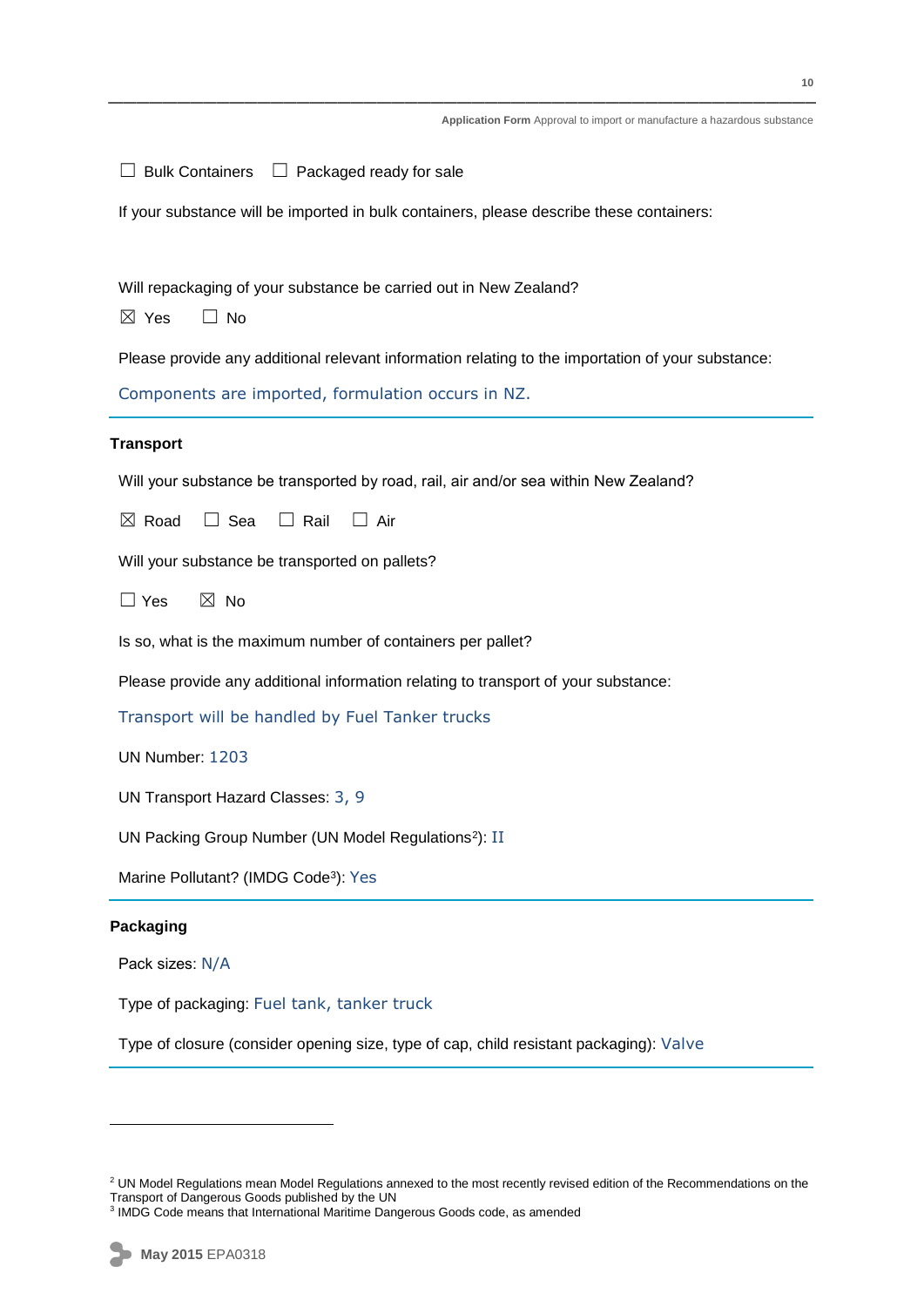| $\Box$ Bulk Containers $\Box$ Packaged ready for sale                                             |
|---------------------------------------------------------------------------------------------------|
| If your substance will be imported in bulk containers, please describe these containers:          |
|                                                                                                   |
| Will repackaging of your substance be carried out in New Zealand?                                 |
| $\boxtimes$ Yes<br>$\Box$ No                                                                      |
| Please provide any additional relevant information relating to the importation of your substance: |
| Components are imported, formulation occurs in NZ.                                                |
| <b>Transport</b>                                                                                  |
| Will your substance be transported by road, rail, air and/or sea within New Zealand?              |
| $\boxtimes$ Road<br>$\Box$ Sea<br>$\Box$ Rail<br>$\Box$ Air                                       |
| Will your substance be transported on pallets?                                                    |
| $\Box$ Yes<br>$\boxtimes$ No                                                                      |
| Is so, what is the maximum number of containers per pallet?                                       |
| Please provide any additional information relating to transport of your substance:                |
| Transport will be handled by Fuel Tanker trucks                                                   |
| UN Number: 1203                                                                                   |
| UN Transport Hazard Classes: 3, 9                                                                 |
| UN Packing Group Number (UN Model Regulations <sup>2</sup> ): II                                  |
| Marine Pollutant? (IMDG Code <sup>3</sup> ): Yes                                                  |
| Packaging                                                                                         |
| Pack sizes: N/A                                                                                   |
| Type of packaging: Fuel tank, tanker truck                                                        |
| Type of closure (consider opening size, type of cap, child resistant packaging): Valve            |

1

<sup>&</sup>lt;sup>2</sup> UN Model Regulations mean Model Regulations annexed to the most recently revised edition of the Recommendations on the Transport of Dangerous Goods published by the UN 3 IMDG Code means that International Maritime Dangerous Goods code, as amended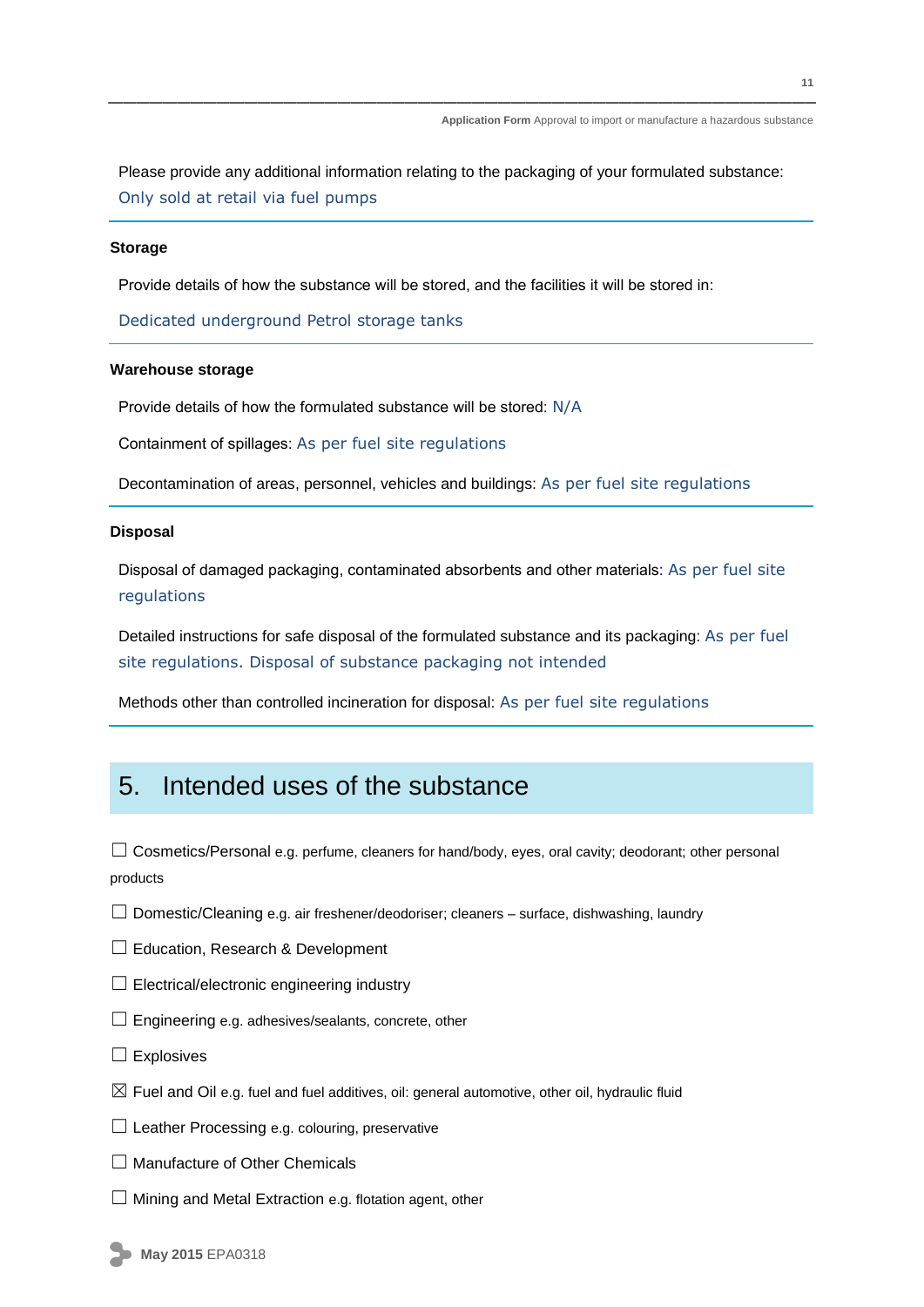Please provide any additional information relating to the packaging of your formulated substance: Only sold at retail via fuel pumps

#### **Storage**

Provide details of how the substance will be stored, and the facilities it will be stored in:

Dedicated underground Petrol storage tanks

#### **Warehouse storage**

Provide details of how the formulated substance will be stored: N/A

Containment of spillages: As per fuel site regulations

Decontamination of areas, personnel, vehicles and buildings: As per fuel site regulations

#### **Disposal**

Disposal of damaged packaging, contaminated absorbents and other materials: As per fuel site regulations

Detailed instructions for safe disposal of the formulated substance and its packaging: As per fuel site regulations. Disposal of substance packaging not intended

Methods other than controlled incineration for disposal: As per fuel site regulations

### 5. Intended uses of the substance

 $\Box$  Cosmetics/Personal e.g. perfume, cleaners for hand/body, eyes, oral cavity; deodorant; other personal products

- ☐ Domestic/Cleaning e.g. air freshener/deodoriser; cleaners surface, dishwashing, laundry
- □ Education, Research & Development
- $\Box$  Electrical/electronic engineering industry
- $\Box$  Engineering e.g. adhesives/sealants, concrete, other
- $\square$  Explosives
- $\boxtimes$  Fuel and Oil e.g. fuel and fuel additives, oil: general automotive, other oil, hydraulic fluid
- $\Box$  Leather Processing e.g. colouring, preservative
- □ Manufacture of Other Chemicals
- $\Box$  Mining and Metal Extraction e.g. flotation agent, other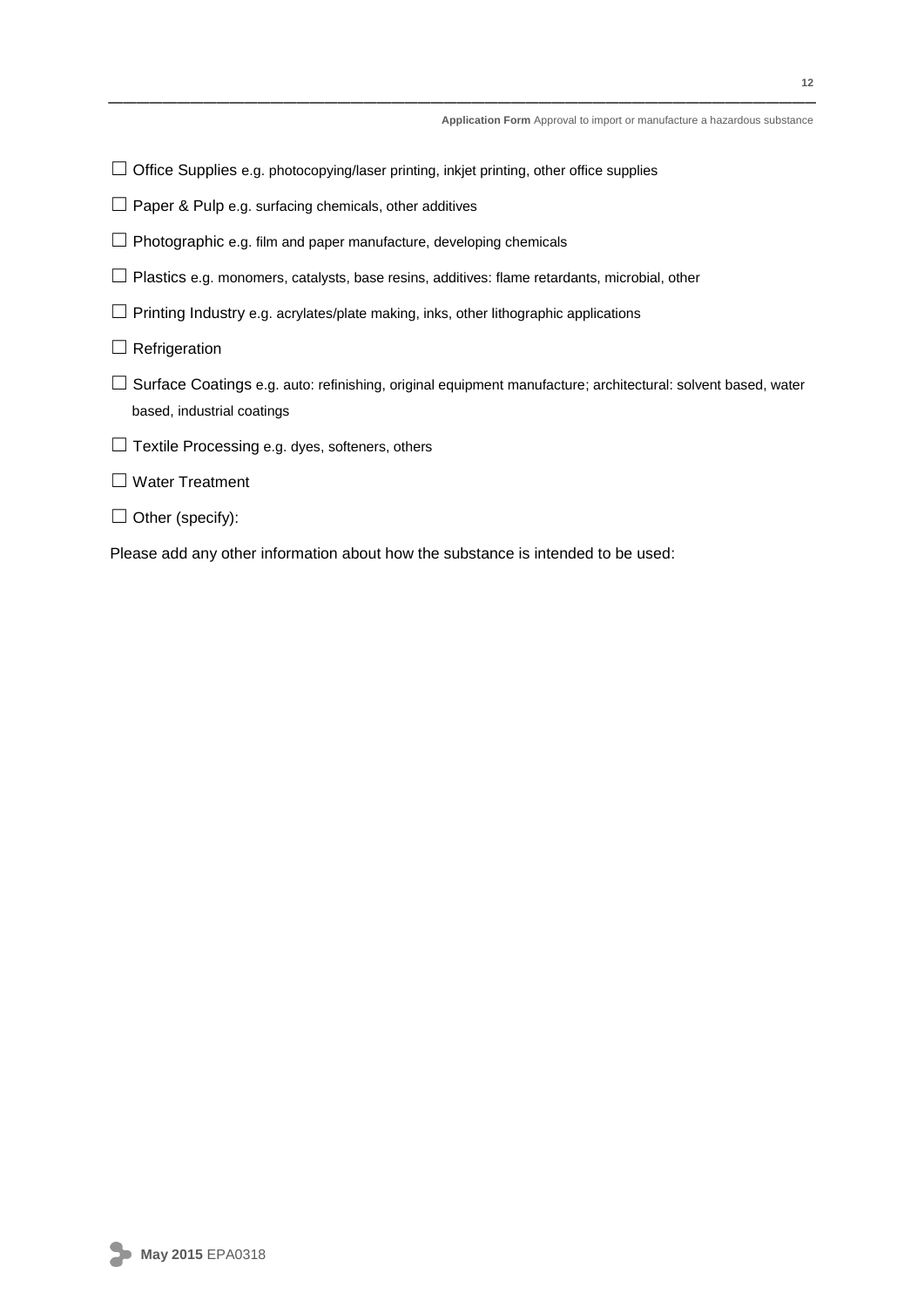- □ Office Supplies e.g. photocopying/laser printing, inkjet printing, other office supplies
- $\Box$  Paper & Pulp e.g. surfacing chemicals, other additives
- □ Photographic e.g. film and paper manufacture, developing chemicals
- □ Plastics e.g. monomers, catalysts, base resins, additives: flame retardants, microbial, other
- $\Box$  Printing Industry e.g. acrylates/plate making, inks, other lithographic applications
- $\Box$  Refrigeration
- ☐ Surface Coatings e.g. auto: refinishing, original equipment manufacture; architectural: solvent based, water based, industrial coatings
- ☐ Textile Processing e.g. dyes, softeners, others

#### ☐ Water Treatment

 $\Box$  Other (specify):

Please add any other information about how the substance is intended to be used: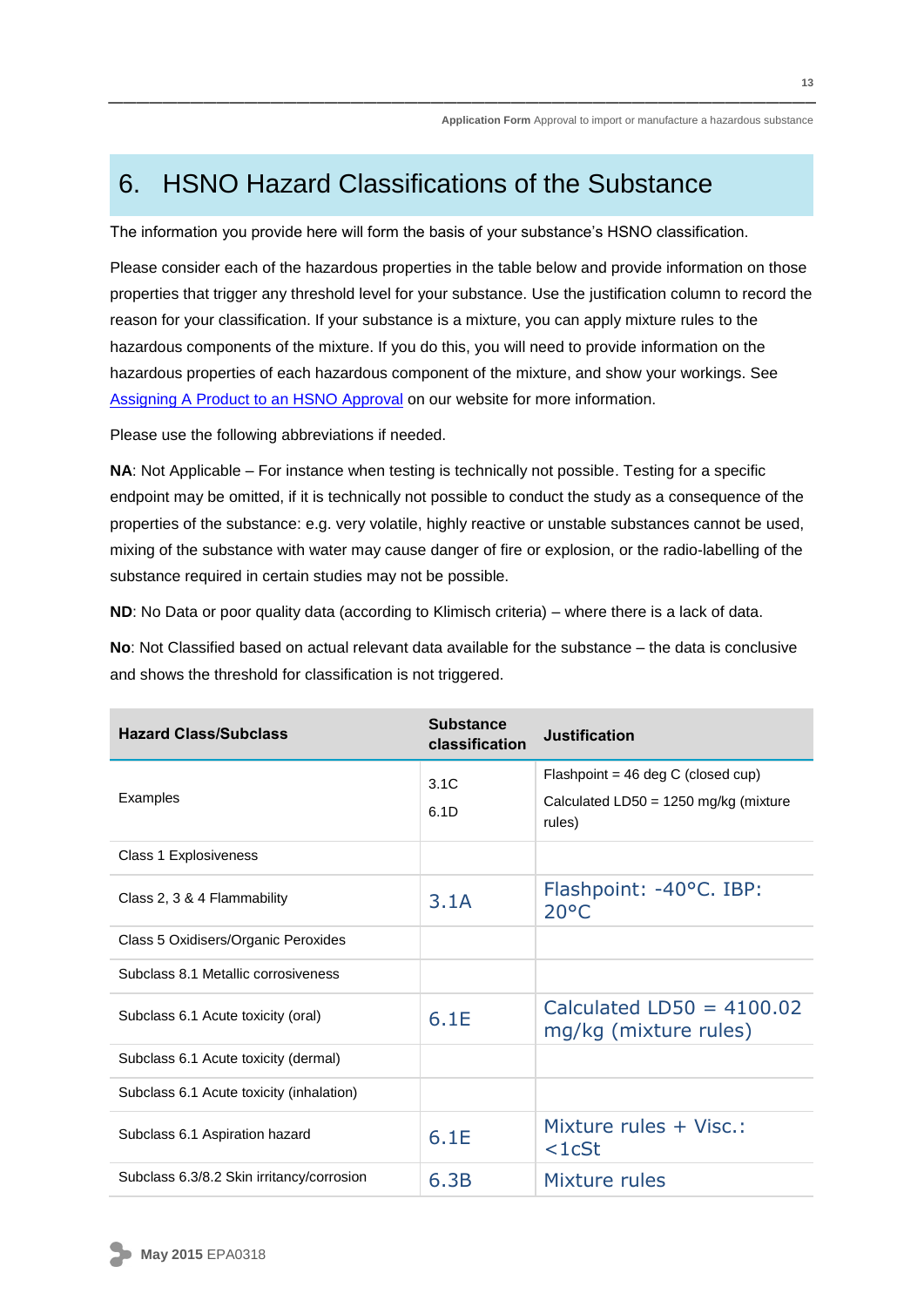## 6. HSNO Hazard Classifications of the Substance

The information you provide here will form the basis of your substance's HSNO classification.

Please consider each of the hazardous properties in the table below and provide information on those properties that trigger any threshold level for your substance. Use the justification column to record the reason for your classification. If your substance is a mixture, you can apply mixture rules to the hazardous components of the mixture. If you do this, you will need to provide information on the hazardous properties of each hazardous component of the mixture, and show your workings. Se[e](http://www.epa.govt.nz/Publications/hsnogen-gs-assigning.pdf) [Assigning A Product to an](http://www.epa.govt.nz/Publications/hsnogen-gs-assigning.pdf) HSNO Approval on our website for more information.

Please use the following abbreviations if needed.

**NA**: Not Applicable – For instance when testing is technically not possible. Testing for a specific endpoint may be omitted, if it is technically not possible to conduct the study as a consequence of the properties of the substance: e.g. very volatile, highly reactive or unstable substances cannot be used, mixing of the substance with water may cause danger of fire or explosion, or the radio-labelling of the substance required in certain studies may not be possible.

**ND**: No Data or poor quality data (according to Klimisch criteria) – where there is a lack of data.

**No**: Not Classified based on actual relevant data available for the substance – the data is conclusive and shows the threshold for classification is not triggered.

| <b>Hazard Class/Subclass</b>              | <b>Substance</b><br>classification | Justification                                        |
|-------------------------------------------|------------------------------------|------------------------------------------------------|
|                                           | 3.1C                               | Flashpoint = 46 deg C (closed cup)                   |
| Examples                                  | 6.1D                               | Calculated $LD50 = 1250$ mg/kg (mixture<br>rules)    |
| Class 1 Explosiveness                     |                                    |                                                      |
| Class 2, 3 & 4 Flammability               | 3.1A                               | Flashpoint: -40°C. IBP:<br>$20^{\circ}$ C            |
| Class 5 Oxidisers/Organic Peroxides       |                                    |                                                      |
| Subclass 8.1 Metallic corrosiveness       |                                    |                                                      |
| Subclass 6.1 Acute toxicity (oral)        | 6.1E                               | Calculated LD50 = $4100.02$<br>mg/kg (mixture rules) |
| Subclass 6.1 Acute toxicity (dermal)      |                                    |                                                      |
| Subclass 6.1 Acute toxicity (inhalation)  |                                    |                                                      |
| Subclass 6.1 Aspiration hazard            | 6.1E                               | Mixture rules + Visc.:<br>$<$ 1 $c$ St               |
| Subclass 6.3/8.2 Skin irritancy/corrosion | 6.3B                               | Mixture rules                                        |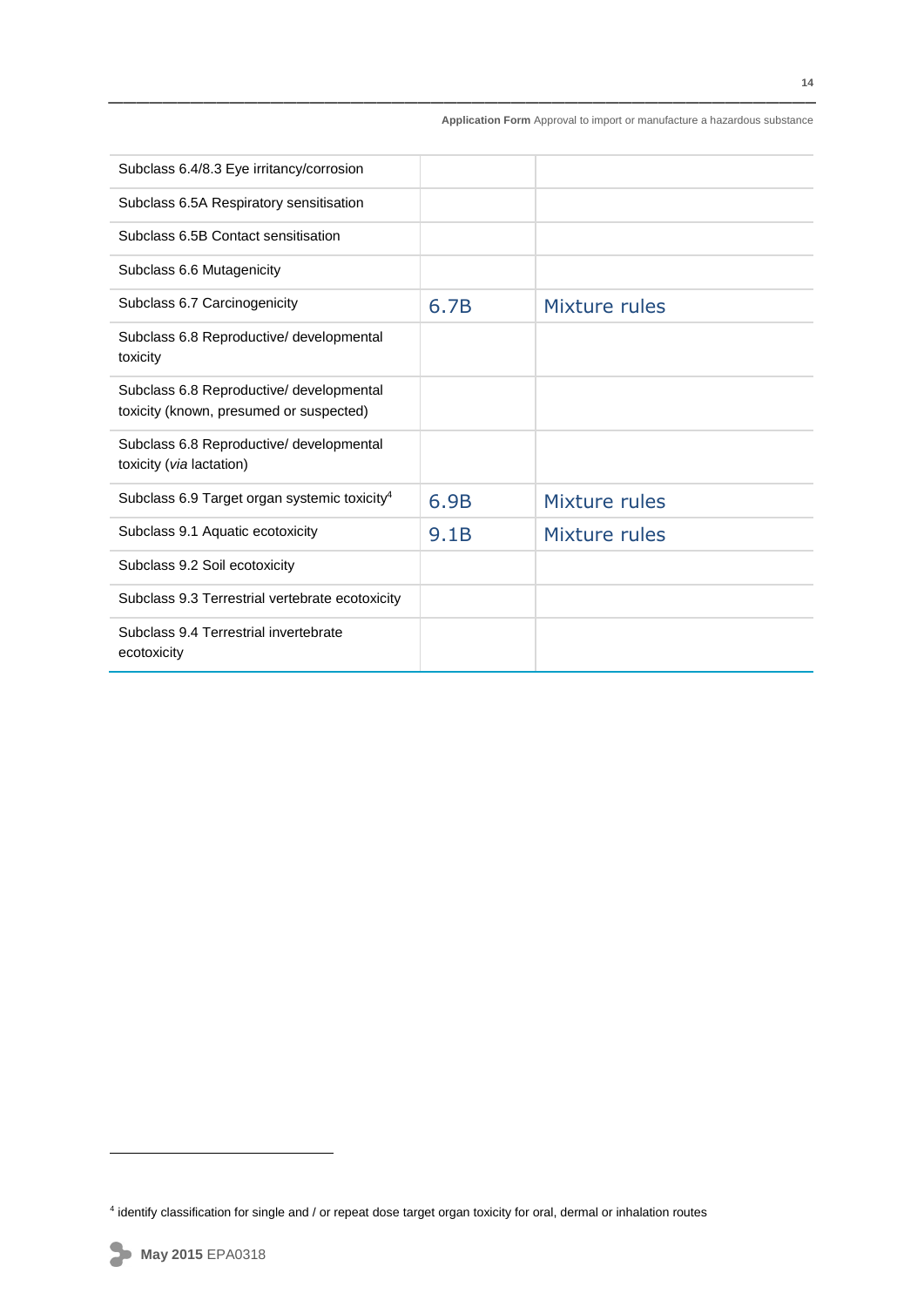| Subclass 6.4/8.3 Eye irritancy/corrosion                                            |      |               |
|-------------------------------------------------------------------------------------|------|---------------|
| Subclass 6.5A Respiratory sensitisation                                             |      |               |
| Subclass 6.5B Contact sensitisation                                                 |      |               |
| Subclass 6.6 Mutagenicity                                                           |      |               |
| Subclass 6.7 Carcinogenicity                                                        | 6.7B | Mixture rules |
| Subclass 6.8 Reproductive/ developmental<br>toxicity                                |      |               |
| Subclass 6.8 Reproductive/ developmental<br>toxicity (known, presumed or suspected) |      |               |
| Subclass 6.8 Reproductive/ developmental<br>toxicity (via lactation)                |      |               |
| Subclass 6.9 Target organ systemic toxicity <sup>4</sup>                            | 6.9B | Mixture rules |
| Subclass 9.1 Aquatic ecotoxicity                                                    | 9.1B | Mixture rules |
| Subclass 9.2 Soil ecotoxicity                                                       |      |               |
| Subclass 9.3 Terrestrial vertebrate ecotoxicity                                     |      |               |
| Subclass 9.4 Terrestrial invertebrate<br>ecotoxicity                                |      |               |

1

<sup>4</sup> identify classification for single and / or repeat dose target organ toxicity for oral, dermal or inhalation routes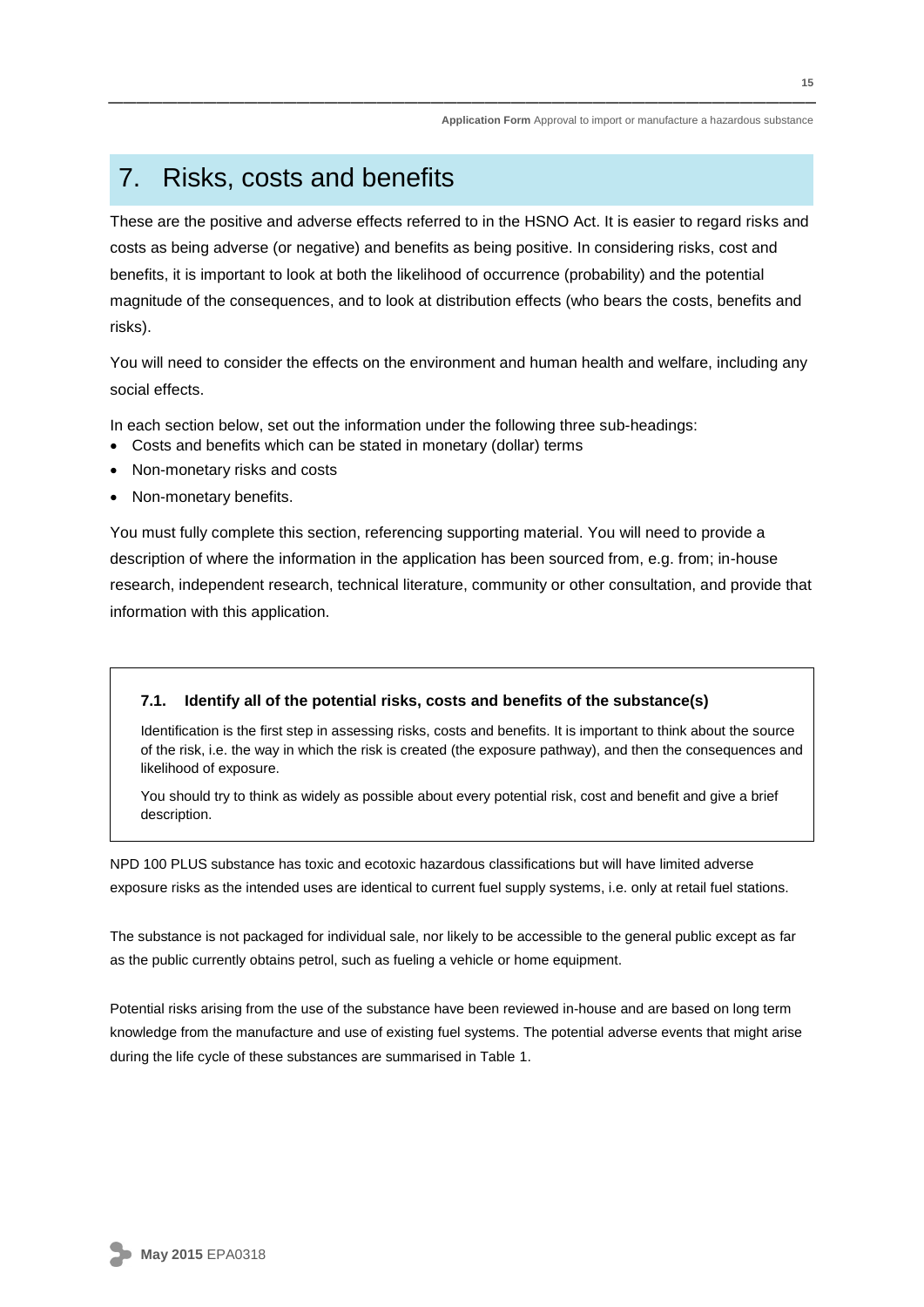### 7. Risks, costs and benefits

These are the positive and adverse effects referred to in the HSNO Act. It is easier to regard risks and costs as being adverse (or negative) and benefits as being positive. In considering risks, cost and benefits, it is important to look at both the likelihood of occurrence (probability) and the potential magnitude of the consequences, and to look at distribution effects (who bears the costs, benefits and risks).

You will need to consider the effects on the environment and human health and welfare, including any social effects.

In each section below, set out the information under the following three sub-headings:

- Costs and benefits which can be stated in monetary (dollar) terms
- Non-monetary risks and costs
- Non-monetary benefits.

You must fully complete this section, referencing supporting material. You will need to provide a description of where the information in the application has been sourced from, e.g. from; in-house research, independent research, technical literature, community or other consultation, and provide that information with this application.

#### **7.1. Identify all of the potential risks, costs and benefits of the substance(s)**

Identification is the first step in assessing risks, costs and benefits. It is important to think about the source of the risk, i.e. the way in which the risk is created (the exposure pathway), and then the consequences and likelihood of exposure.

You should try to think as widely as possible about every potential risk, cost and benefit and give a brief description.

NPD 100 PLUS substance has toxic and ecotoxic hazardous classifications but will have limited adverse exposure risks as the intended uses are identical to current fuel supply systems, i.e. only at retail fuel stations.

The substance is not packaged for individual sale, nor likely to be accessible to the general public except as far as the public currently obtains petrol, such as fueling a vehicle or home equipment.

Potential risks arising from the use of the substance have been reviewed in-house and are based on long term knowledge from the manufacture and use of existing fuel systems. The potential adverse events that might arise during the life cycle of these substances are summarised in Table 1.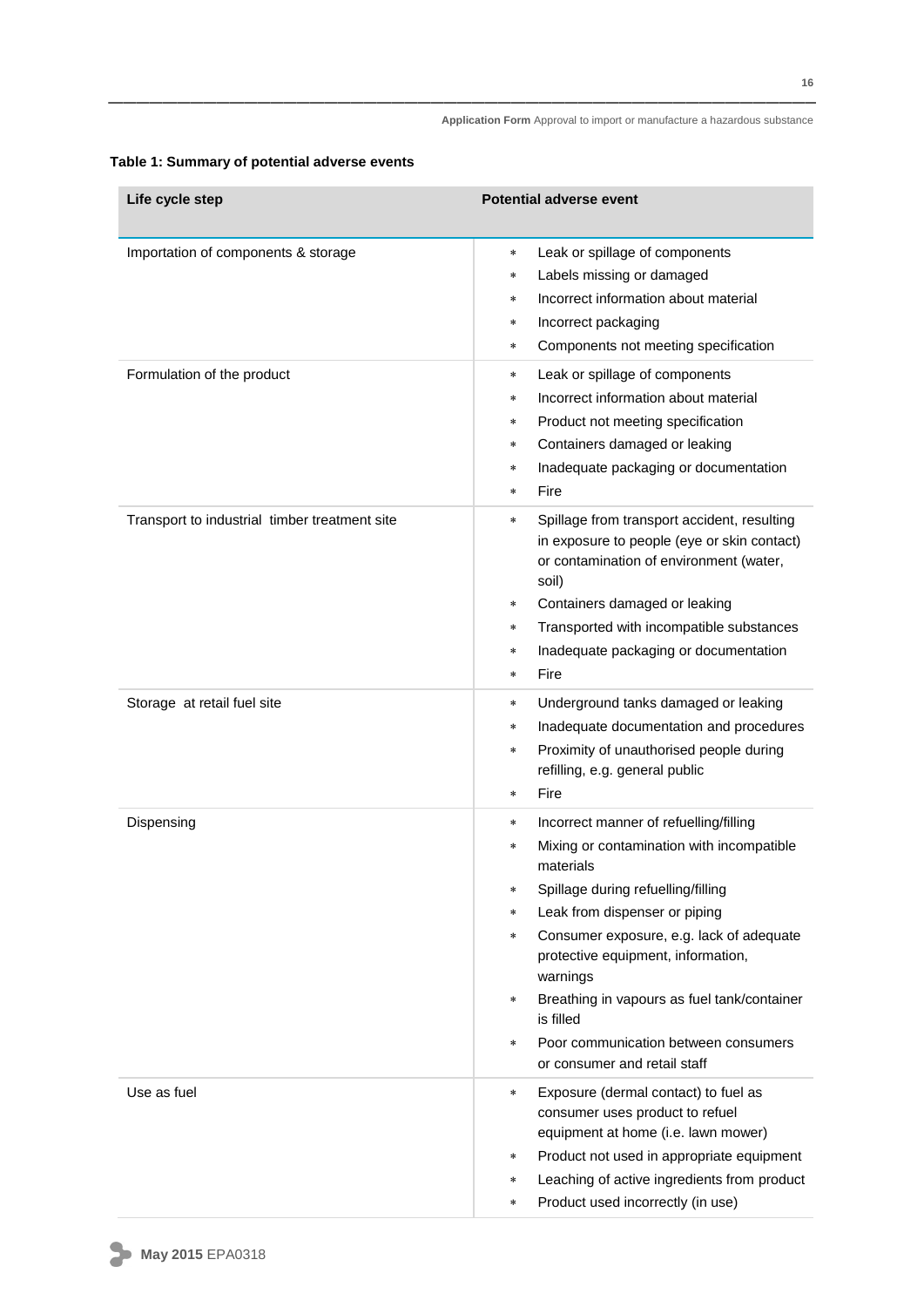| Life cycle step                                                   | <b>Potential adverse event</b>                                                                                                                                                                                                                                                                                                                                                                                                                                   |
|-------------------------------------------------------------------|------------------------------------------------------------------------------------------------------------------------------------------------------------------------------------------------------------------------------------------------------------------------------------------------------------------------------------------------------------------------------------------------------------------------------------------------------------------|
| Importation of components & storage<br>Formulation of the product | Leak or spillage of components<br>$\ast$<br>Labels missing or damaged<br>$\ast$<br>Incorrect information about material<br>$\ast$<br>Incorrect packaging<br>$\ast$<br>Components not meeting specification<br>$\ast$<br>Leak or spillage of components<br>*<br>Incorrect information about material<br>*                                                                                                                                                         |
|                                                                   | Product not meeting specification<br>*<br>Containers damaged or leaking<br>*<br>Inadequate packaging or documentation<br>*<br>Fire<br>*                                                                                                                                                                                                                                                                                                                          |
| Transport to industrial timber treatment site                     | Spillage from transport accident, resulting<br>$\ast$<br>in exposure to people (eye or skin contact)<br>or contamination of environment (water,<br>soil)<br>Containers damaged or leaking<br>$\ast$<br>Transported with incompatible substances<br>$\ast$<br>Inadequate packaging or documentation<br>$\ast$<br>Fire<br>$\ast$                                                                                                                                   |
| Storage at retail fuel site                                       | Underground tanks damaged or leaking<br>$\ast$<br>Inadequate documentation and procedures<br>*<br>Proximity of unauthorised people during<br>$\ast$<br>refilling, e.g. general public<br>Fire<br>$\star$                                                                                                                                                                                                                                                         |
| Dispensing                                                        | Incorrect manner of refuelling/filling<br>*<br>Mixing or contamination with incompatible<br>$\ast$<br>materials<br>Spillage during refuelling/filling<br>*<br>Leak from dispenser or piping<br>*<br>Consumer exposure, e.g. lack of adequate<br>$\ast$<br>protective equipment, information,<br>warnings<br>Breathing in vapours as fuel tank/container<br>$\ast$<br>is filled<br>Poor communication between consumers<br>$\ast$<br>or consumer and retail staff |
| Use as fuel                                                       | Exposure (dermal contact) to fuel as<br>$\ast$<br>consumer uses product to refuel<br>equipment at home (i.e. lawn mower)<br>Product not used in appropriate equipment<br>$\ast$<br>Leaching of active ingredients from product<br>$\ast$<br>Product used incorrectly (in use)<br>$\ast$                                                                                                                                                                          |

### **Table 1: Summary of potential adverse events**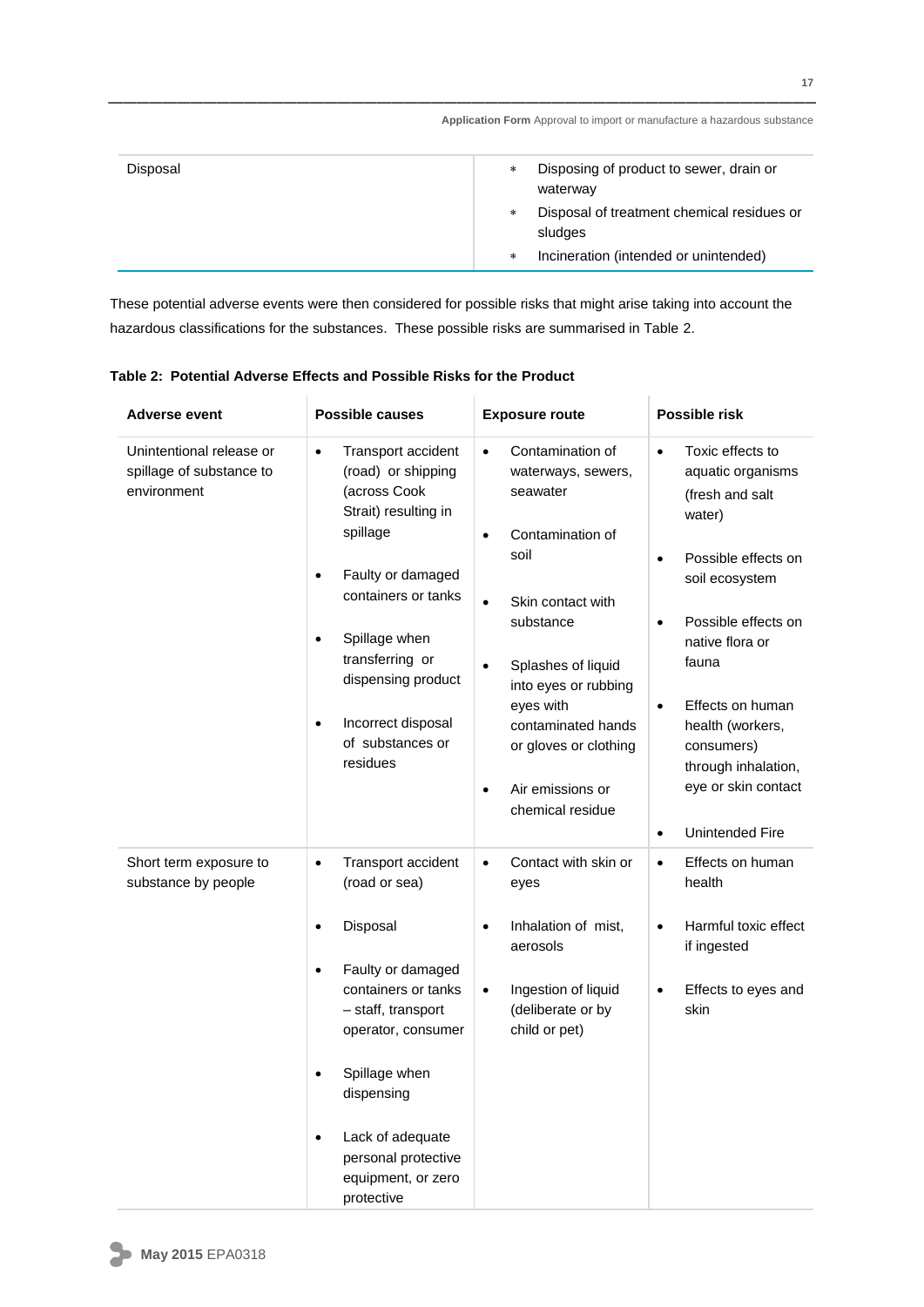| Disposal | Disposing of product to sewer, drain or<br>$\ast$<br>waterway   |
|----------|-----------------------------------------------------------------|
|          | Disposal of treatment chemical residues or<br>$\ast$<br>sludges |
|          | Incineration (intended or unintended)<br>$\ast$                 |

These potential adverse events were then considered for possible risks that might arise taking into account the hazardous classifications for the substances. These possible risks are summarised in Table 2.

| <b>Adverse event</b>                                                | <b>Possible causes</b>                                                                                                                                                                                                                                                                                    | <b>Exposure route</b>                                                                                                                                                                                                                                                                                     | Possible risk                                                                                                                                                                                                                                                                                                                                          |
|---------------------------------------------------------------------|-----------------------------------------------------------------------------------------------------------------------------------------------------------------------------------------------------------------------------------------------------------------------------------------------------------|-----------------------------------------------------------------------------------------------------------------------------------------------------------------------------------------------------------------------------------------------------------------------------------------------------------|--------------------------------------------------------------------------------------------------------------------------------------------------------------------------------------------------------------------------------------------------------------------------------------------------------------------------------------------------------|
| Unintentional release or<br>spillage of substance to<br>environment | Transport accident<br>$\bullet$<br>(road) or shipping<br>(across Cook<br>Strait) resulting in<br>spillage<br>Faulty or damaged<br>$\bullet$<br>containers or tanks<br>Spillage when<br>transferring or<br>dispensing product<br>Incorrect disposal<br>$\bullet$<br>of substances or<br>residues           | Contamination of<br>$\bullet$<br>waterways, sewers,<br>seawater<br>Contamination of<br>$\bullet$<br>soil<br>Skin contact with<br>$\bullet$<br>substance<br>Splashes of liquid<br>into eyes or rubbing<br>eyes with<br>contaminated hands<br>or gloves or clothing<br>Air emissions or<br>chemical residue | Toxic effects to<br>$\bullet$<br>aquatic organisms<br>(fresh and salt<br>water)<br>Possible effects on<br>$\bullet$<br>soil ecosystem<br>Possible effects on<br>$\bullet$<br>native flora or<br>fauna<br>Effects on human<br>$\bullet$<br>health (workers,<br>consumers)<br>through inhalation,<br>eye or skin contact<br>Unintended Fire<br>$\bullet$ |
| Short term exposure to<br>substance by people                       | Transport accident<br>$\bullet$<br>(road or sea)<br>Disposal<br>$\bullet$<br>Faulty or damaged<br>$\bullet$<br>containers or tanks<br>- staff, transport<br>operator, consumer<br>Spillage when<br>dispensing<br>Lack of adequate<br>$\bullet$<br>personal protective<br>equipment, or zero<br>protective | Contact with skin or<br>$\bullet$<br>eyes<br>Inhalation of mist,<br>$\bullet$<br>aerosols<br>Ingestion of liquid<br>$\bullet$<br>(deliberate or by<br>child or pet)                                                                                                                                       | Effects on human<br>$\bullet$<br>health<br>Harmful toxic effect<br>$\bullet$<br>if ingested<br>Effects to eyes and<br>$\bullet$<br>skin                                                                                                                                                                                                                |

**Table 2: Potential Adverse Effects and Possible Risks for the Product**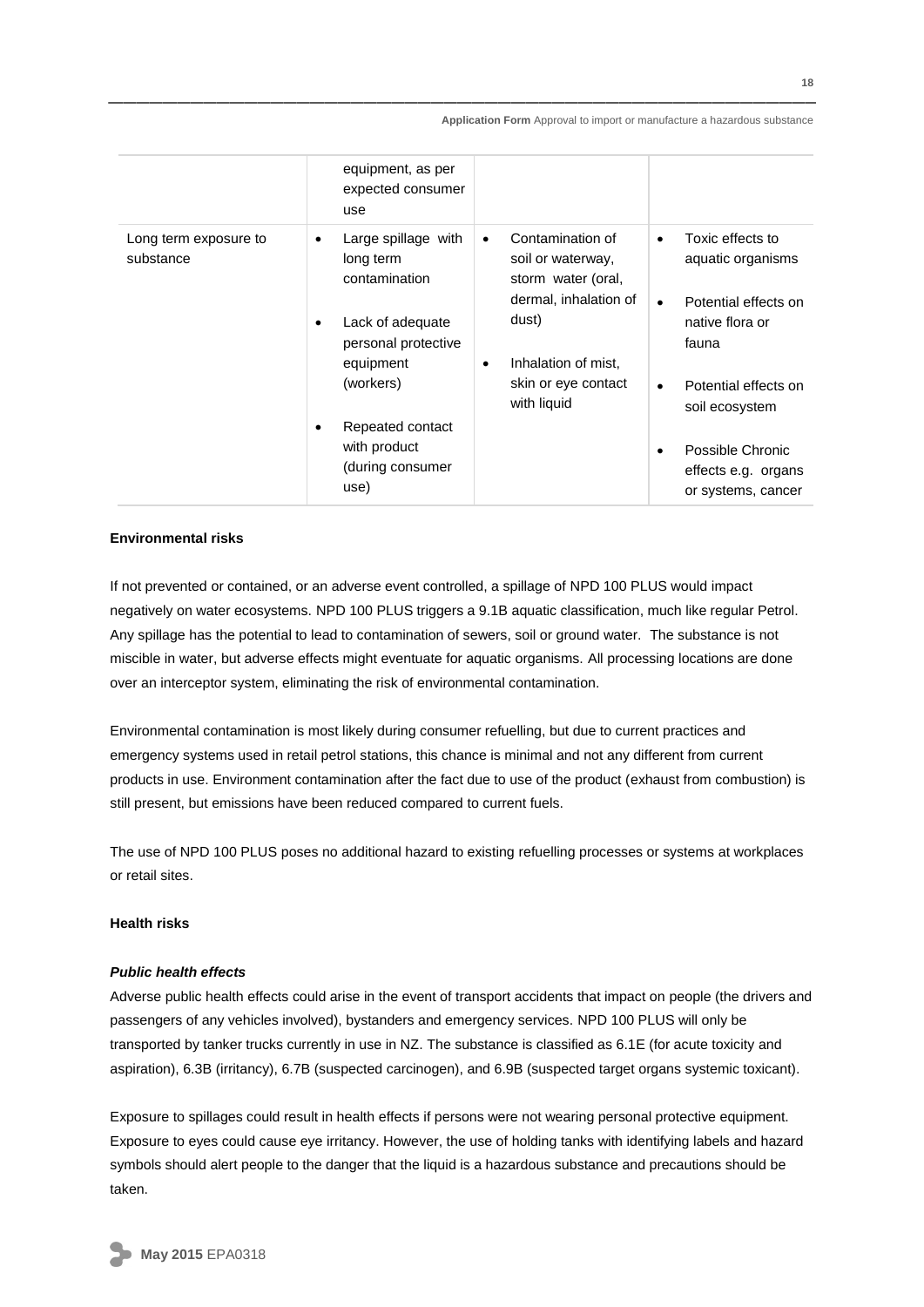|                                    | equipment, as per<br>expected consumer<br>use                                                                                                                                                    |                                                                                                                                                                                      |                                                                                                                                                                                                                                                          |
|------------------------------------|--------------------------------------------------------------------------------------------------------------------------------------------------------------------------------------------------|--------------------------------------------------------------------------------------------------------------------------------------------------------------------------------------|----------------------------------------------------------------------------------------------------------------------------------------------------------------------------------------------------------------------------------------------------------|
| Long term exposure to<br>substance | Large spillage with<br>٠<br>long term<br>contamination<br>Lack of adequate<br>٠<br>personal protective<br>equipment<br>(workers)<br>Repeated contact<br>with product<br>(during consumer<br>use) | Contamination of<br>$\bullet$<br>soil or waterway,<br>storm water (oral,<br>dermal, inhalation of<br>dust)<br>Inhalation of mist.<br>$\bullet$<br>skin or eye contact<br>with liquid | Toxic effects to<br>$\bullet$<br>aquatic organisms<br>Potential effects on<br>$\bullet$<br>native flora or<br>fauna<br>Potential effects on<br>$\bullet$<br>soil ecosystem<br>Possible Chronic<br>$\bullet$<br>effects e.g. organs<br>or systems, cancer |

#### **Environmental risks**

If not prevented or contained, or an adverse event controlled, a spillage of NPD 100 PLUS would impact negatively on water ecosystems. NPD 100 PLUS triggers a 9.1B aquatic classification, much like regular Petrol. Any spillage has the potential to lead to contamination of sewers, soil or ground water. The substance is not miscible in water, but adverse effects might eventuate for aquatic organisms. All processing locations are done over an interceptor system, eliminating the risk of environmental contamination.

Environmental contamination is most likely during consumer refuelling, but due to current practices and emergency systems used in retail petrol stations, this chance is minimal and not any different from current products in use. Environment contamination after the fact due to use of the product (exhaust from combustion) is still present, but emissions have been reduced compared to current fuels.

The use of NPD 100 PLUS poses no additional hazard to existing refuelling processes or systems at workplaces or retail sites.

#### **Health risks**

#### *Public health effects*

Adverse public health effects could arise in the event of transport accidents that impact on people (the drivers and passengers of any vehicles involved), bystanders and emergency services. NPD 100 PLUS will only be transported by tanker trucks currently in use in NZ. The substance is classified as 6.1E (for acute toxicity and aspiration), 6.3B (irritancy), 6.7B (suspected carcinogen), and 6.9B (suspected target organs systemic toxicant).

Exposure to spillages could result in health effects if persons were not wearing personal protective equipment. Exposure to eyes could cause eye irritancy. However, the use of holding tanks with identifying labels and hazard symbols should alert people to the danger that the liquid is a hazardous substance and precautions should be taken.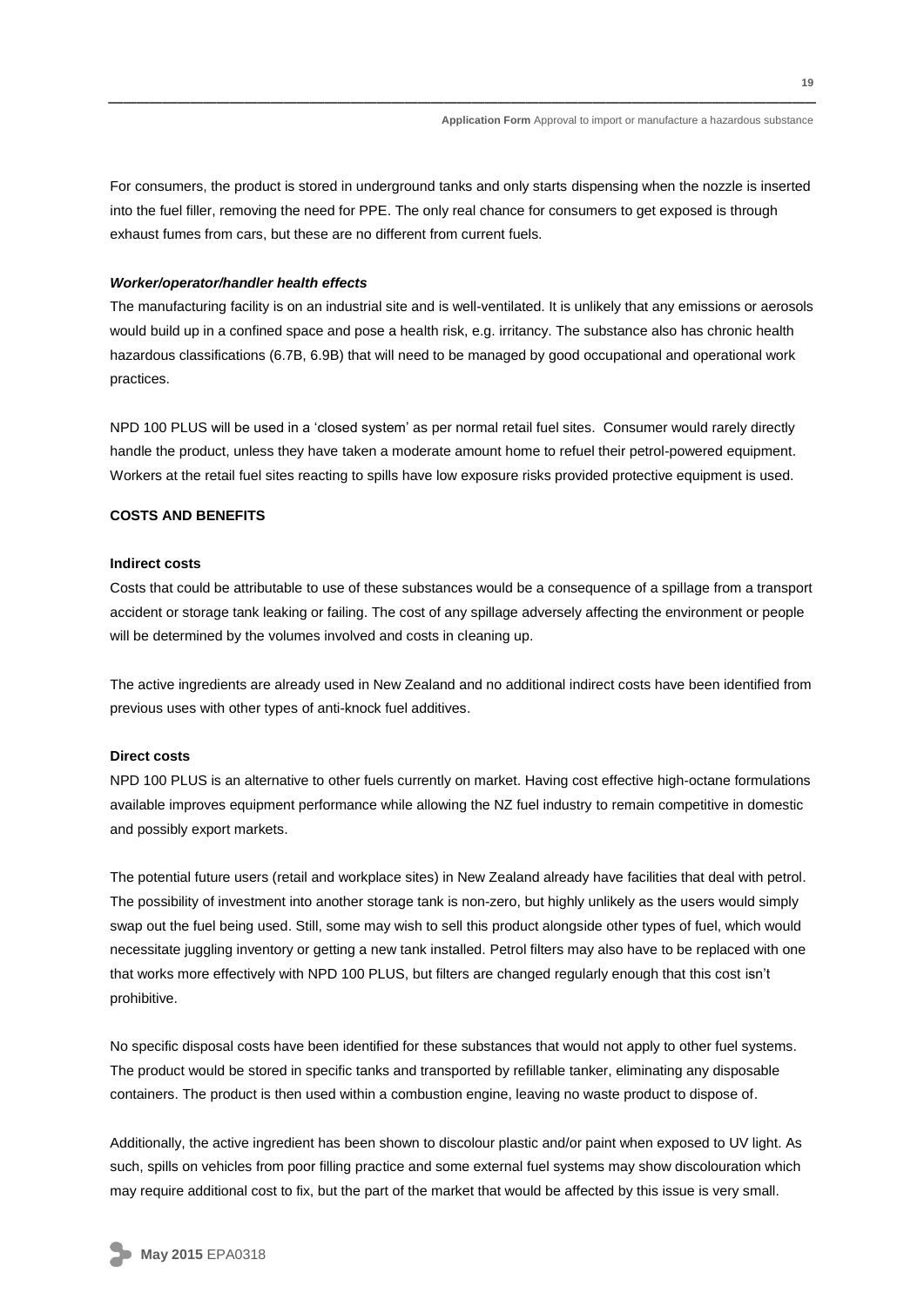For consumers, the product is stored in underground tanks and only starts dispensing when the nozzle is inserted into the fuel filler, removing the need for PPE. The only real chance for consumers to get exposed is through exhaust fumes from cars, but these are no different from current fuels.

#### *Worker/operator/handler health effects*

The manufacturing facility is on an industrial site and is well-ventilated. It is unlikely that any emissions or aerosols would build up in a confined space and pose a health risk, e.g. irritancy. The substance also has chronic health hazardous classifications (6.7B, 6.9B) that will need to be managed by good occupational and operational work practices.

NPD 100 PLUS will be used in a 'closed system' as per normal retail fuel sites. Consumer would rarely directly handle the product, unless they have taken a moderate amount home to refuel their petrol-powered equipment. Workers at the retail fuel sites reacting to spills have low exposure risks provided protective equipment is used.

#### **COSTS AND BENEFITS**

#### **Indirect costs**

Costs that could be attributable to use of these substances would be a consequence of a spillage from a transport accident or storage tank leaking or failing. The cost of any spillage adversely affecting the environment or people will be determined by the volumes involved and costs in cleaning up.

The active ingredients are already used in New Zealand and no additional indirect costs have been identified from previous uses with other types of anti-knock fuel additives.

#### **Direct costs**

NPD 100 PLUS is an alternative to other fuels currently on market. Having cost effective high-octane formulations available improves equipment performance while allowing the NZ fuel industry to remain competitive in domestic and possibly export markets.

The potential future users (retail and workplace sites) in New Zealand already have facilities that deal with petrol. The possibility of investment into another storage tank is non-zero, but highly unlikely as the users would simply swap out the fuel being used. Still, some may wish to sell this product alongside other types of fuel, which would necessitate juggling inventory or getting a new tank installed. Petrol filters may also have to be replaced with one that works more effectively with NPD 100 PLUS, but filters are changed regularly enough that this cost isn't prohibitive.

No specific disposal costs have been identified for these substances that would not apply to other fuel systems. The product would be stored in specific tanks and transported by refillable tanker, eliminating any disposable containers. The product is then used within a combustion engine, leaving no waste product to dispose of.

Additionally, the active ingredient has been shown to discolour plastic and/or paint when exposed to UV light. As such, spills on vehicles from poor filling practice and some external fuel systems may show discolouration which may require additional cost to fix, but the part of the market that would be affected by this issue is very small.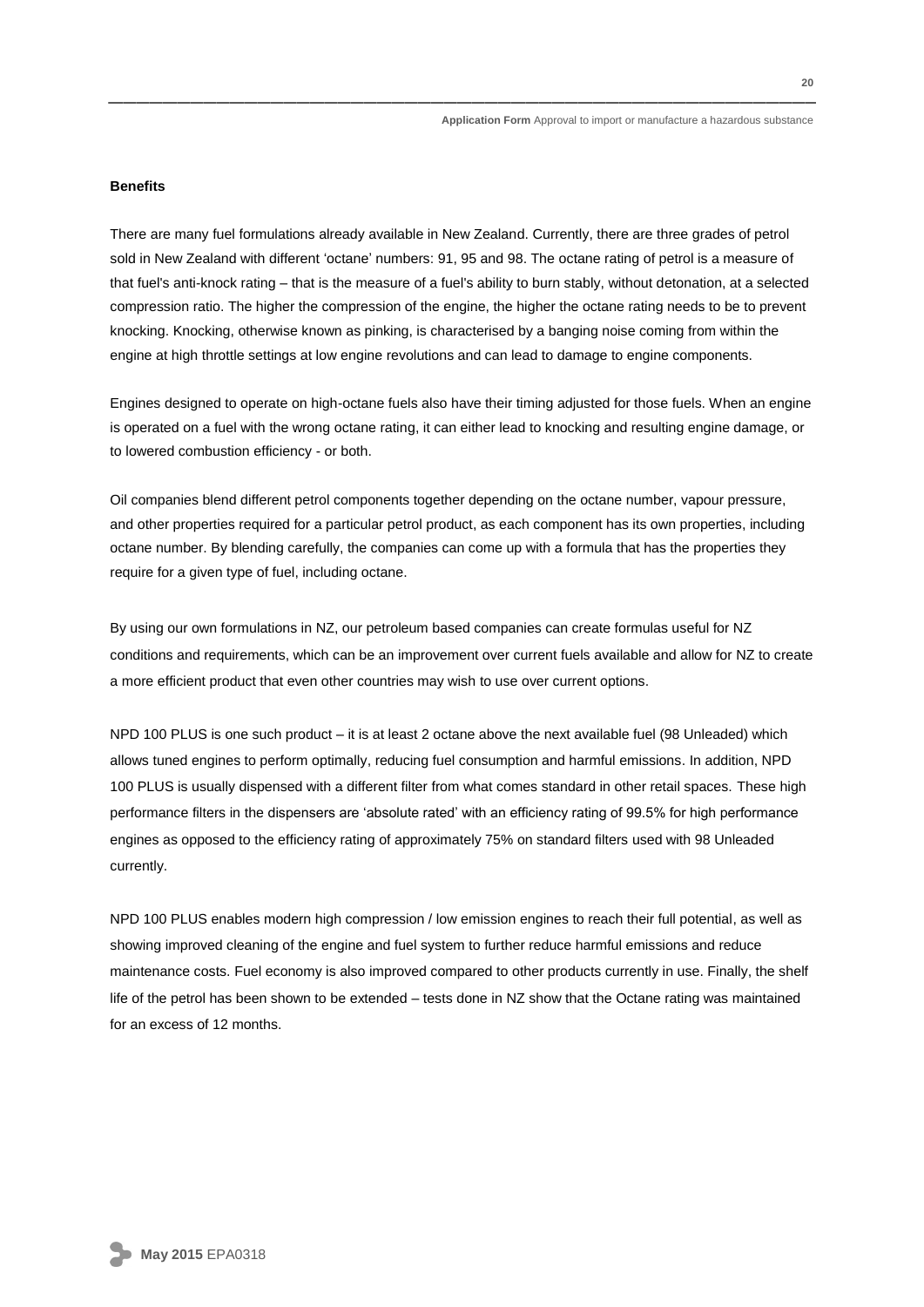#### **Benefits**

There are many fuel formulations already available in New Zealand. Currently, there are three grades of petrol sold in New Zealand with different 'octane' numbers: 91, 95 and 98. The octane rating of petrol is a measure of that fuel's anti-knock rating – that is the measure of a fuel's ability to burn stably, without detonation, at a selected compression ratio. The higher the compression of the engine, the higher the octane rating needs to be to prevent knocking. Knocking, otherwise known as pinking, is characterised by a banging noise coming from within the engine at high throttle settings at low engine revolutions and can lead to damage to engine components.

Engines designed to operate on high-octane fuels also have their timing adjusted for those fuels. When an engine is operated on a fuel with the wrong octane rating, it can either lead to knocking and resulting engine damage, or to lowered combustion efficiency - or both.

Oil companies blend different petrol components together depending on the octane number, vapour pressure, and other properties required for a particular petrol product, as each component has its own properties, including octane number. By blending carefully, the companies can come up with a formula that has the properties they require for a given type of fuel, including octane.

By using our own formulations in NZ, our petroleum based companies can create formulas useful for NZ conditions and requirements, which can be an improvement over current fuels available and allow for NZ to create a more efficient product that even other countries may wish to use over current options.

NPD 100 PLUS is one such product – it is at least 2 octane above the next available fuel (98 Unleaded) which allows tuned engines to perform optimally, reducing fuel consumption and harmful emissions. In addition, NPD 100 PLUS is usually dispensed with a different filter from what comes standard in other retail spaces. These high performance filters in the dispensers are 'absolute rated' with an efficiency rating of 99.5% for high performance engines as opposed to the efficiency rating of approximately 75% on standard filters used with 98 Unleaded currently.

NPD 100 PLUS enables modern high compression / low emission engines to reach their full potential, as well as showing improved cleaning of the engine and fuel system to further reduce harmful emissions and reduce maintenance costs. Fuel economy is also improved compared to other products currently in use. Finally, the shelf life of the petrol has been shown to be extended – tests done in NZ show that the Octane rating was maintained for an excess of 12 months.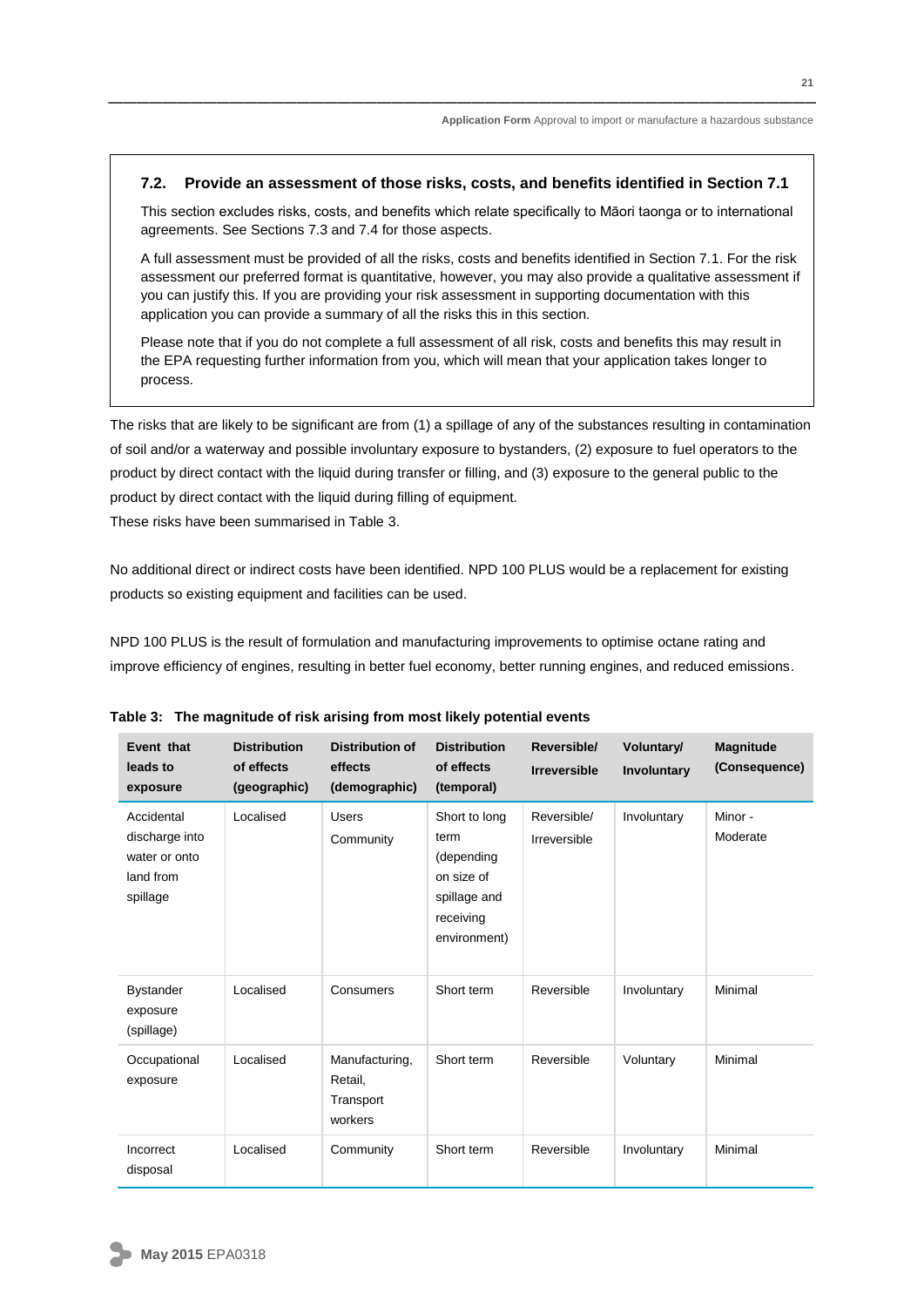#### **7.2. Provide an assessment of those risks, costs, and benefits identified in Section 7.1**

This section excludes risks, costs, and benefits which relate specifically to Māori taonga or to international agreements. See Sections 7.3 and 7.4 for those aspects.

A full assessment must be provided of all the risks, costs and benefits identified in Section 7.1. For the risk assessment our preferred format is quantitative, however, you may also provide a qualitative assessment if you can justify this. If you are providing your risk assessment in supporting documentation with this application you can provide a summary of all the risks this in this section.

Please note that if you do not complete a full assessment of all risk, costs and benefits this may result in the EPA requesting further information from you, which will mean that your application takes longer to process.

The risks that are likely to be significant are from (1) a spillage of any of the substances resulting in contamination of soil and/or a waterway and possible involuntary exposure to bystanders, (2) exposure to fuel operators to the product by direct contact with the liquid during transfer or filling, and (3) exposure to the general public to the product by direct contact with the liquid during filling of equipment. These risks have been summarised in Table 3.

No additional direct or indirect costs have been identified. NPD 100 PLUS would be a replacement for existing products so existing equipment and facilities can be used.

NPD 100 PLUS is the result of formulation and manufacturing improvements to optimise octane rating and improve efficiency of engines, resulting in better fuel economy, better running engines, and reduced emissions.

| Event that<br>leads to<br>exposure                                     | <b>Distribution</b><br>of effects<br>(geographic) | <b>Distribution of</b><br>effects<br>(demographic) | <b>Distribution</b><br>of effects<br>(temporal)                                                | Reversible/<br><b>Irreversible</b> | Voluntary/<br>Involuntary | <b>Magnitude</b><br>(Consequence) |
|------------------------------------------------------------------------|---------------------------------------------------|----------------------------------------------------|------------------------------------------------------------------------------------------------|------------------------------------|---------------------------|-----------------------------------|
| Accidental<br>discharge into<br>water or onto<br>land from<br>spillage | Localised                                         | <b>Users</b><br>Community                          | Short to long<br>term<br>(depending<br>on size of<br>spillage and<br>receiving<br>environment) | Reversible/<br>Irreversible        | Involuntary               | Minor -<br>Moderate               |
| <b>Bystander</b><br>exposure<br>(spillage)                             | Localised                                         | Consumers                                          | Short term                                                                                     | Reversible                         | Involuntary               | Minimal                           |
| Occupational<br>exposure                                               | Localised                                         | Manufacturing,<br>Retail,<br>Transport<br>workers  | Short term                                                                                     | Reversible                         | Voluntary                 | Minimal                           |
| Incorrect<br>disposal                                                  | Localised                                         | Community                                          | Short term                                                                                     | Reversible                         | Involuntary               | Minimal                           |

**Table 3: The magnitude of risk arising from most likely potential events**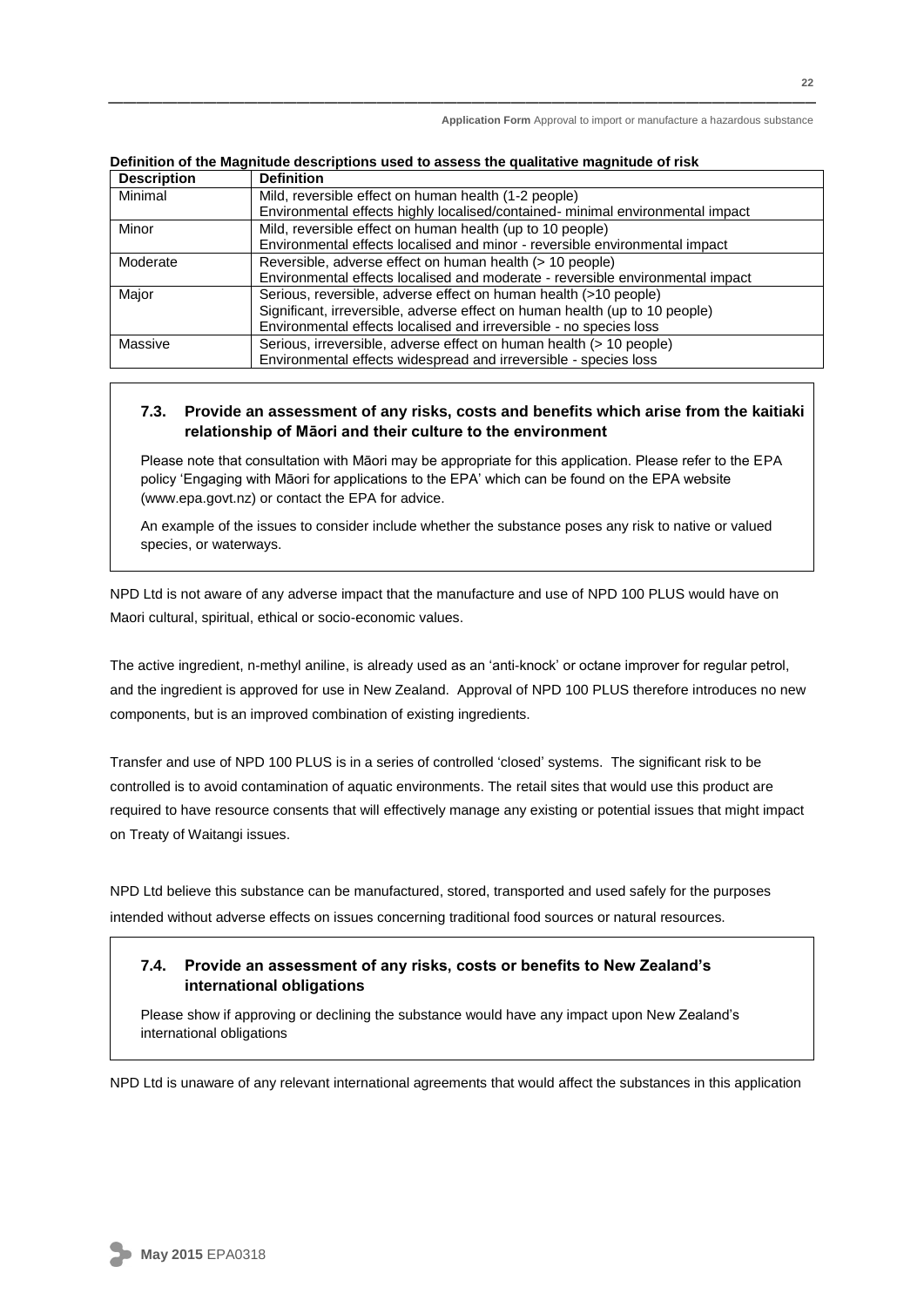| <b>Description</b> | <b>Definition</b>                                                              |  |
|--------------------|--------------------------------------------------------------------------------|--|
| Minimal            | Mild, reversible effect on human health (1-2 people)                           |  |
|                    | Environmental effects highly localised/contained- minimal environmental impact |  |
| Minor              | Mild, reversible effect on human health (up to 10 people)                      |  |
|                    | Environmental effects localised and minor - reversible environmental impact    |  |
| Moderate           | Reversible, adverse effect on human health (> 10 people)                       |  |
|                    | Environmental effects localised and moderate - reversible environmental impact |  |
| Major              | Serious, reversible, adverse effect on human health (>10 people)               |  |
|                    | Significant, irreversible, adverse effect on human health (up to 10 people)    |  |
|                    | Environmental effects localised and irreversible - no species loss             |  |
| Massive            | Serious, irreversible, adverse effect on human health (> 10 people)            |  |
|                    | Environmental effects widespread and irreversible - species loss               |  |

#### **Definition of the Magnitude descriptions used to assess the qualitative magnitude of risk**

#### **7.3. Provide an assessment of any risks, costs and benefits which arise from the kaitiaki relationship of Māori and their culture to the environment**

Please note that consultation with Māori may be appropriate for this application. Please refer to the EPA policy 'Engaging with Māori for applications to the EPA' which can be found on the EPA website (www.epa.govt.nz) or contact the EPA for advice.

An example of the issues to consider include whether the substance poses any risk to native or valued species, or waterways.

NPD Ltd is not aware of any adverse impact that the manufacture and use of NPD 100 PLUS would have on Maori cultural, spiritual, ethical or socio-economic values.

The active ingredient, n-methyl aniline, is already used as an 'anti-knock' or octane improver for regular petrol, and the ingredient is approved for use in New Zealand. Approval of NPD 100 PLUS therefore introduces no new components, but is an improved combination of existing ingredients.

Transfer and use of NPD 100 PLUS is in a series of controlled 'closed' systems. The significant risk to be controlled is to avoid contamination of aquatic environments. The retail sites that would use this product are required to have resource consents that will effectively manage any existing or potential issues that might impact on Treaty of Waitangi issues.

NPD Ltd believe this substance can be manufactured, stored, transported and used safely for the purposes intended without adverse effects on issues concerning traditional food sources or natural resources.

#### **7.4. Provide an assessment of any risks, costs or benefits to New Zealand's international obligations**

Please show if approving or declining the substance would have any impact upon New Zealand's international obligations

NPD Ltd is unaware of any relevant international agreements that would affect the substances in this application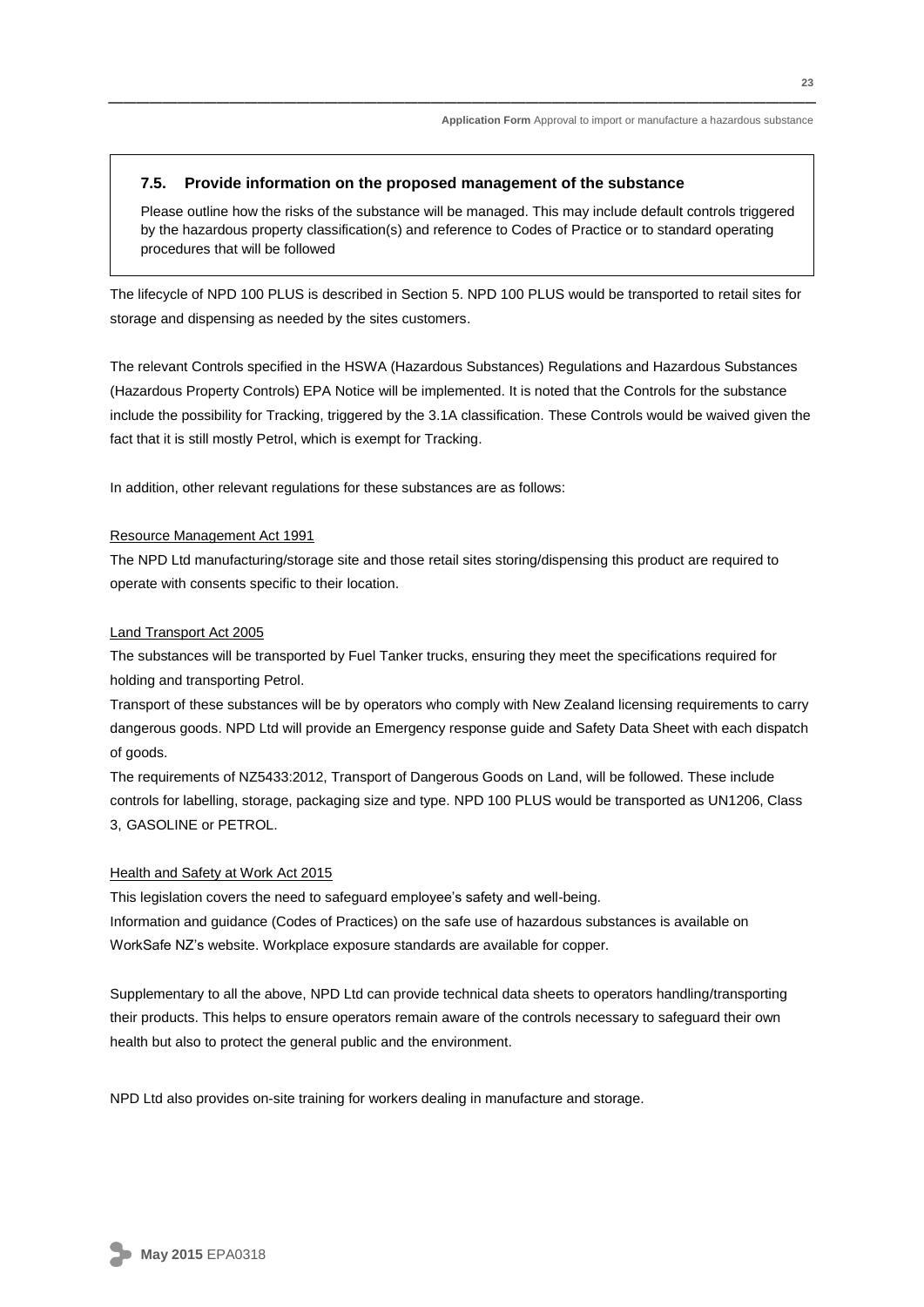#### **7.5. Provide information on the proposed management of the substance**

Please outline how the risks of the substance will be managed. This may include default controls triggered by the hazardous property classification(s) and reference to Codes of Practice or to standard operating procedures that will be followed

The lifecycle of NPD 100 PLUS is described in Section 5. NPD 100 PLUS would be transported to retail sites for storage and dispensing as needed by the sites customers.

The relevant Controls specified in the HSWA (Hazardous Substances) Regulations and Hazardous Substances (Hazardous Property Controls) EPA Notice will be implemented. It is noted that the Controls for the substance include the possibility for Tracking, triggered by the 3.1A classification. These Controls would be waived given the fact that it is still mostly Petrol, which is exempt for Tracking.

In addition, other relevant regulations for these substances are as follows:

#### Resource Management Act 1991

The NPD Ltd manufacturing/storage site and those retail sites storing/dispensing this product are required to operate with consents specific to their location.

#### Land Transport Act 2005

The substances will be transported by Fuel Tanker trucks, ensuring they meet the specifications required for holding and transporting Petrol.

Transport of these substances will be by operators who comply with New Zealand licensing requirements to carry dangerous goods. NPD Ltd will provide an Emergency response guide and Safety Data Sheet with each dispatch of goods.

The requirements of NZ5433:2012, Transport of Dangerous Goods on Land, will be followed. These include controls for labelling, storage, packaging size and type. NPD 100 PLUS would be transported as UN1206, Class 3, GASOLINE or PETROL.

#### Health and Safety at Work Act 2015

This legislation covers the need to safeguard employee's safety and well-being. Information and guidance (Codes of Practices) on the safe use of hazardous substances is available on WorkSafe NZ's website. Workplace exposure standards are available for copper.

Supplementary to all the above, NPD Ltd can provide technical data sheets to operators handling/transporting their products. This helps to ensure operators remain aware of the controls necessary to safeguard their own health but also to protect the general public and the environment.

NPD Ltd also provides on-site training for workers dealing in manufacture and storage.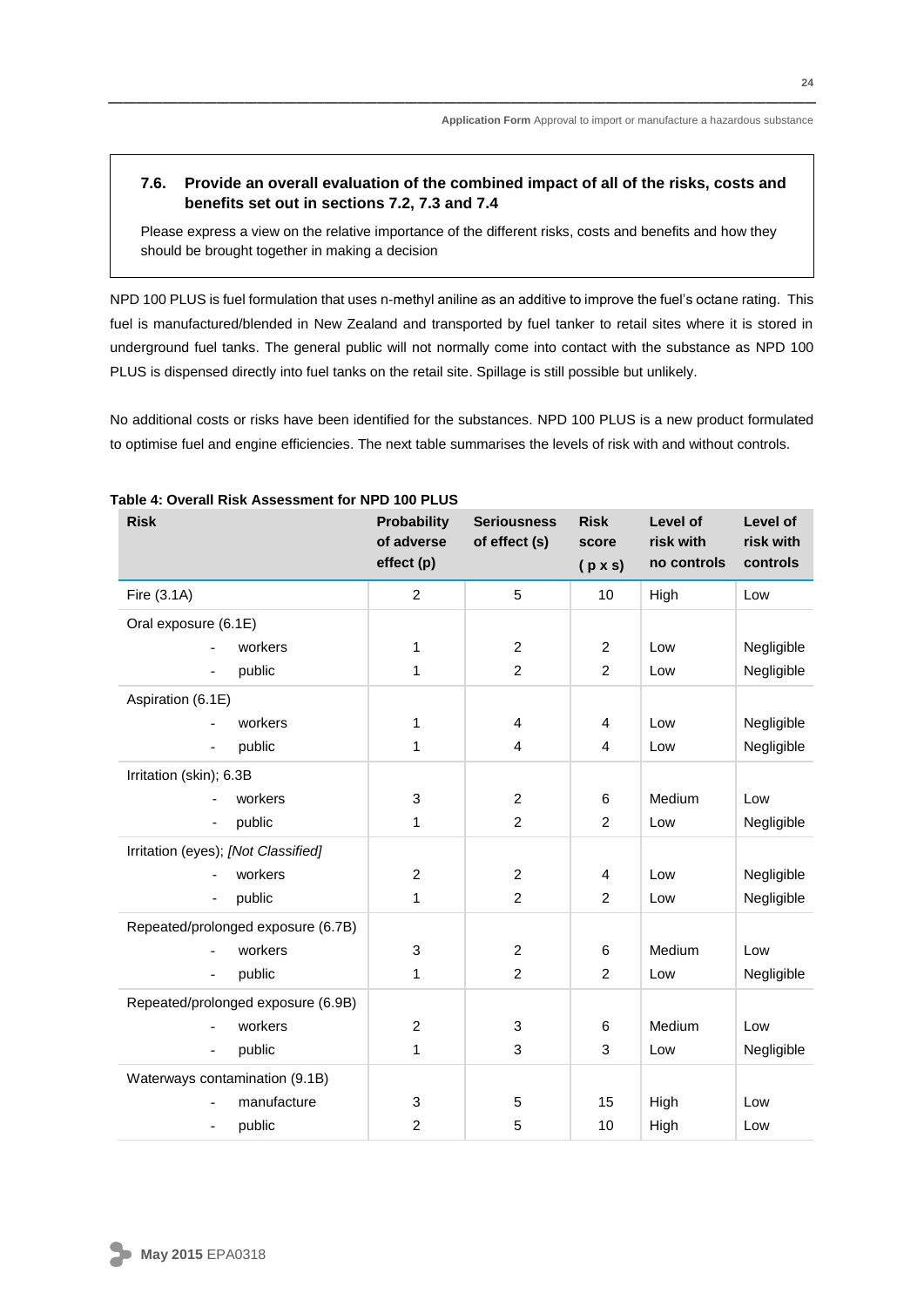#### **7.6. Provide an overall evaluation of the combined impact of all of the risks, costs and benefits set out in sections 7.2, 7.3 and 7.4**

Please express a view on the relative importance of the different risks, costs and benefits and how they should be brought together in making a decision

NPD 100 PLUS is fuel formulation that uses n-methyl aniline as an additive to improve the fuel's octane rating. This fuel is manufactured/blended in New Zealand and transported by fuel tanker to retail sites where it is stored in underground fuel tanks. The general public will not normally come into contact with the substance as NPD 100 PLUS is dispensed directly into fuel tanks on the retail site. Spillage is still possible but unlikely.

No additional costs or risks have been identified for the substances. NPD 100 PLUS is a new product formulated to optimise fuel and engine efficiencies. The next table summarises the levels of risk with and without controls.

| <b>Risk</b>                         | <b>Probability</b><br>of adverse<br>effect (p) | <b>Seriousness</b><br>of effect (s) | <b>Risk</b><br>score<br>$(p \times s)$ | Level of<br>risk with<br>no controls | Level of<br>risk with<br>controls |
|-------------------------------------|------------------------------------------------|-------------------------------------|----------------------------------------|--------------------------------------|-----------------------------------|
| Fire (3.1A)                         | $\overline{c}$                                 | 5                                   | 10                                     | High                                 | Low                               |
| Oral exposure (6.1E)                |                                                |                                     |                                        |                                      |                                   |
| workers<br>$\overline{\phantom{a}}$ | 1                                              | $\overline{2}$                      | $\overline{2}$                         | Low                                  | Negligible                        |
| public<br>$\overline{\phantom{a}}$  | 1                                              | $\overline{2}$                      | $\overline{2}$                         | Low                                  | Negligible                        |
| Aspiration (6.1E)                   |                                                |                                     |                                        |                                      |                                   |
| workers                             | 1                                              | 4                                   | 4                                      | Low                                  | Negligible                        |
| public<br>$\overline{a}$            | 1                                              | $\overline{4}$                      | 4                                      | Low                                  | Negligible                        |
| Irritation (skin); 6.3B             |                                                |                                     |                                        |                                      |                                   |
| workers                             | 3                                              | $\overline{2}$                      | 6                                      | Medium                               | Low                               |
| public<br>$\overline{\phantom{0}}$  | 1                                              | $\overline{2}$                      | $\overline{2}$                         | Low                                  | Negligible                        |
| Irritation (eyes); [Not Classified] |                                                |                                     |                                        |                                      |                                   |
| workers                             | $\overline{c}$                                 | $\overline{2}$                      | 4                                      | Low                                  | Negligible                        |
| public                              | 1                                              | $\overline{2}$                      | 2                                      | Low                                  | Negligible                        |
| Repeated/prolonged exposure (6.7B)  |                                                |                                     |                                        |                                      |                                   |
| workers                             | 3                                              | $\overline{c}$                      | 6                                      | Medium                               | Low                               |
| public<br>$\overline{\phantom{a}}$  | 1                                              | $\overline{2}$                      | $\overline{2}$                         | Low                                  | Negligible                        |
| Repeated/prolonged exposure (6.9B)  |                                                |                                     |                                        |                                      |                                   |
| workers                             | $\overline{c}$                                 | 3                                   | 6                                      | Medium                               | Low                               |
| public<br>$\overline{a}$            | 1                                              | 3                                   | 3                                      | Low                                  | Negligible                        |
| Waterways contamination (9.1B)      |                                                |                                     |                                        |                                      |                                   |
| manufacture                         | 3                                              | 5                                   | 15                                     | High                                 | Low                               |
| public<br>$\overline{\phantom{a}}$  | $\overline{c}$                                 | 5                                   | 10                                     | High                                 | Low                               |

#### **Table 4: Overall Risk Assessment for NPD 100 PLUS**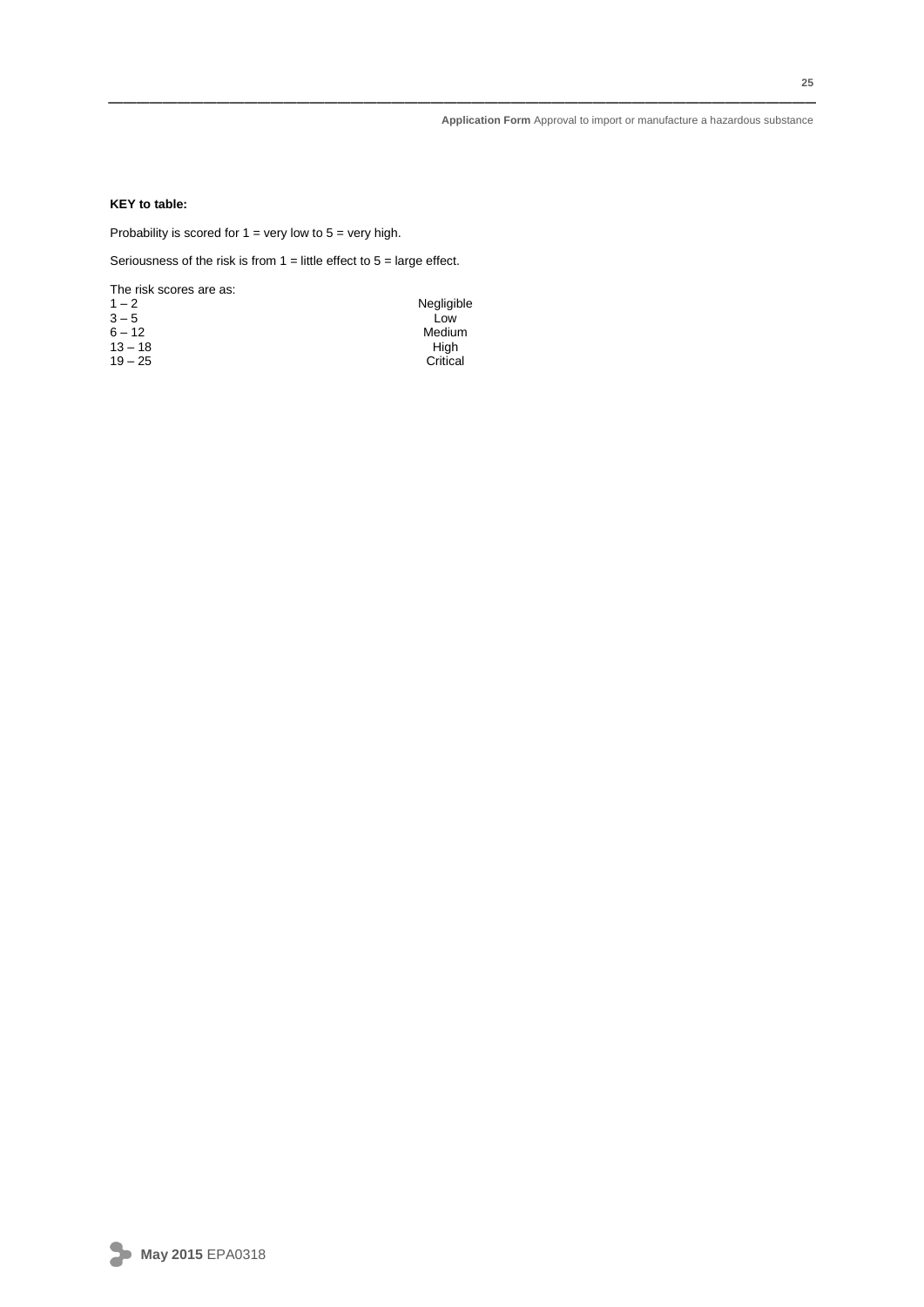#### **KEY to table:**

Probability is scored for  $1 =$  very low to  $5 =$  very high.

Seriousness of the risk is from  $1 =$  little effect to  $5 =$  large effect.

The risk scores are as:

| $1 - 2$   | Negligible |
|-----------|------------|
| $3 - 5$   | Low        |
| $6 - 12$  | Medium     |
| $13 - 18$ | Hiah       |
| $19 - 25$ | Critical   |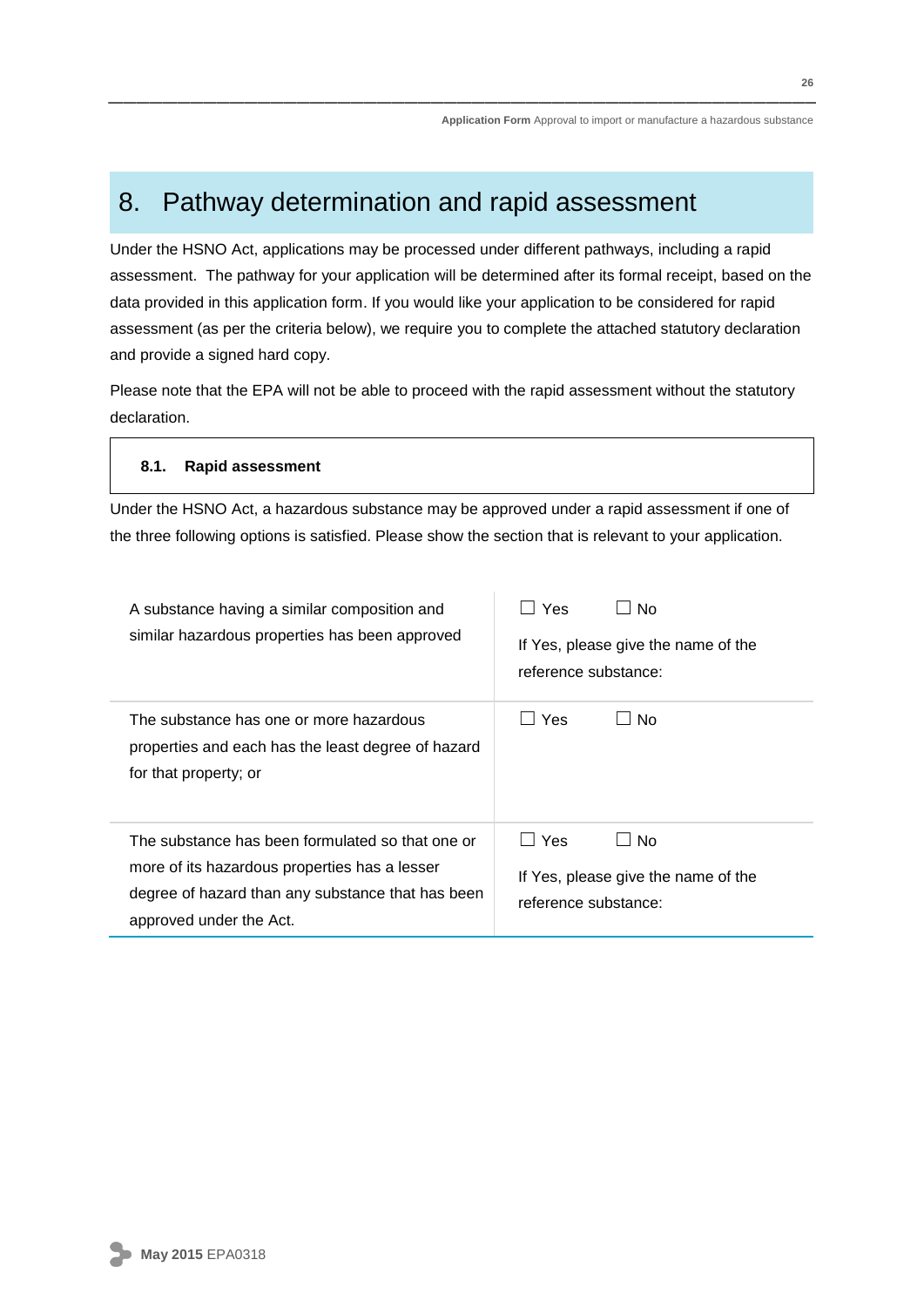## 8. Pathway determination and rapid assessment

Under the HSNO Act, applications may be processed under different pathways, including a rapid assessment. The pathway for your application will be determined after its formal receipt, based on the data provided in this application form. If you would like your application to be considered for rapid assessment (as per the criteria below), we require you to complete the attached statutory declaration and provide a signed hard copy.

Please note that the EPA will not be able to proceed with the rapid assessment without the statutory declaration.

#### **8.1. Rapid assessment**

Under the HSNO Act, a hazardous substance may be approved under a rapid assessment if one of the three following options is satisfied. Please show the section that is relevant to your application.

| A substance having a similar composition and<br>similar hazardous properties has been approved                                                                                    | Yes<br>Nο<br>If Yes, please give the name of the<br>reference substance:                              |
|-----------------------------------------------------------------------------------------------------------------------------------------------------------------------------------|-------------------------------------------------------------------------------------------------------|
| The substance has one or more hazardous<br>properties and each has the least degree of hazard<br>for that property; or                                                            | <b>Yes</b><br>No                                                                                      |
| The substance has been formulated so that one or<br>more of its hazardous properties has a lesser<br>degree of hazard than any substance that has been<br>approved under the Act. | Yes<br>No.<br>$\overline{\phantom{a}}$<br>If Yes, please give the name of the<br>reference substance: |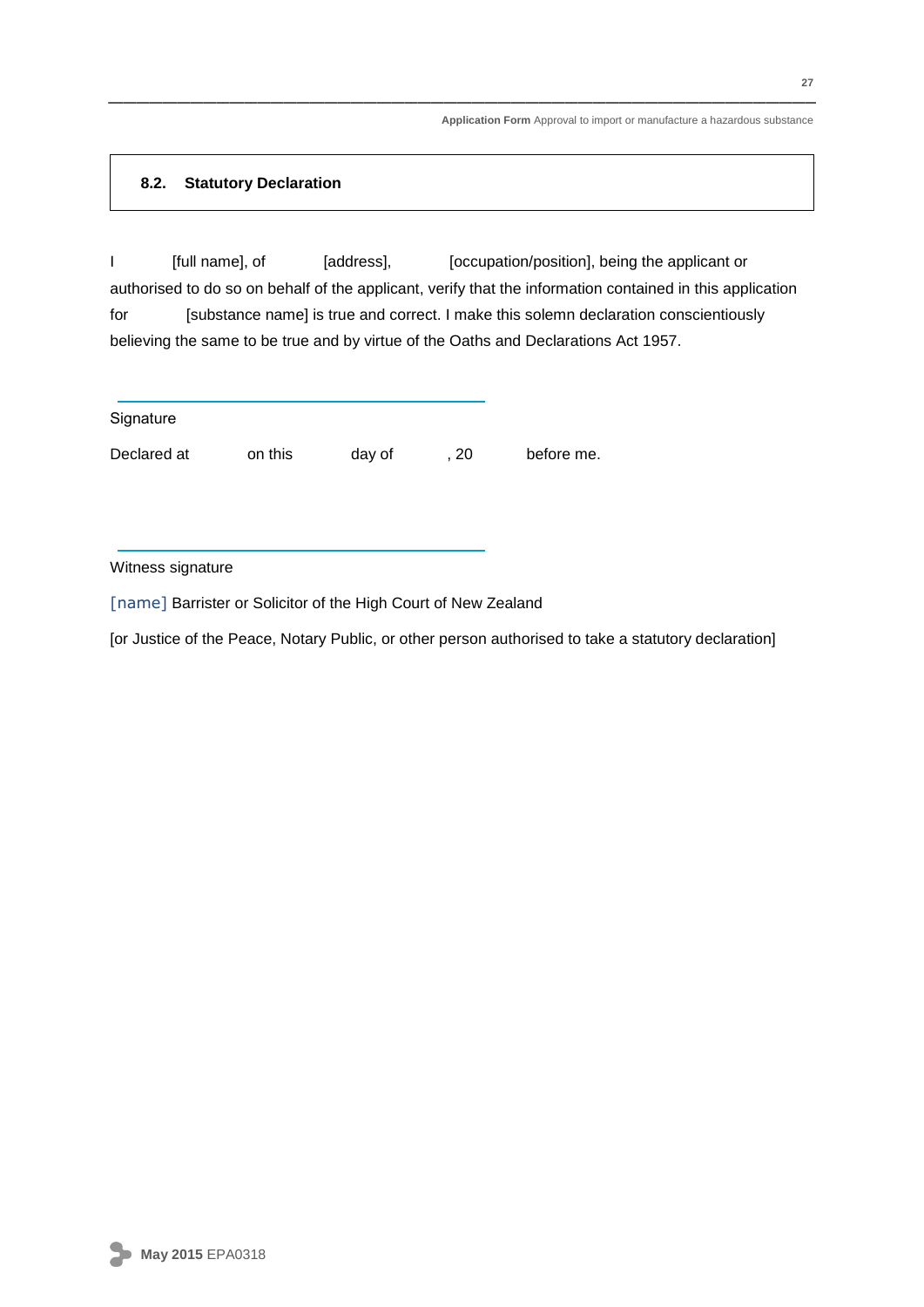#### **8.2. Statutory Declaration**

I [full name], of [address], [occupation/position], being the applicant or authorised to do so on behalf of the applicant, verify that the information contained in this application for [substance name] is true and correct. I make this solemn declaration conscientiously believing the same to be true and by virtue of the Oaths and Declarations Act 1957.

**Signature** 

Declared at on this day of , 20 before me.

Witness signature

[name] Barrister or Solicitor of the High Court of New Zealand

[or Justice of the Peace, Notary Public, or other person authorised to take a statutory declaration]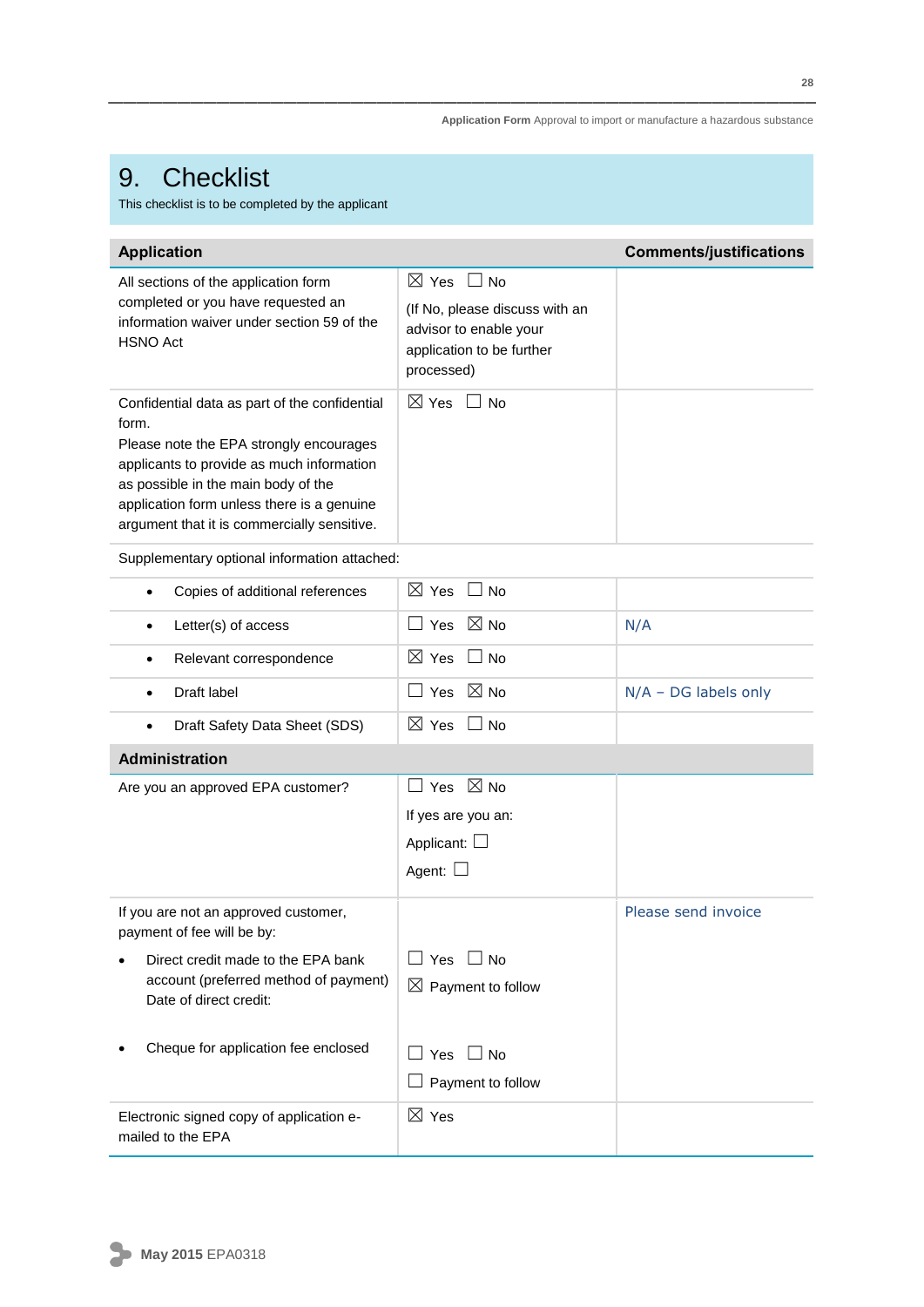## 9. Checklist

This checklist is to be completed by the applicant

| <b>Application</b>                                                                                                                                                                                                                                                                 |                                                                                                                                       | <b>Comments/justifications</b> |
|------------------------------------------------------------------------------------------------------------------------------------------------------------------------------------------------------------------------------------------------------------------------------------|---------------------------------------------------------------------------------------------------------------------------------------|--------------------------------|
| All sections of the application form<br>completed or you have requested an<br>information waiver under section 59 of the<br><b>HSNO Act</b>                                                                                                                                        | $\boxtimes$ Yes<br>$\sqcup$ No<br>(If No, please discuss with an<br>advisor to enable your<br>application to be further<br>processed) |                                |
| Confidential data as part of the confidential<br>form.<br>Please note the EPA strongly encourages<br>applicants to provide as much information<br>as possible in the main body of the<br>application form unless there is a genuine<br>argument that it is commercially sensitive. | $\boxtimes$ Yes<br><b>No</b>                                                                                                          |                                |
| Supplementary optional information attached:                                                                                                                                                                                                                                       |                                                                                                                                       |                                |
| Copies of additional references<br>$\bullet$                                                                                                                                                                                                                                       | $\boxtimes$ Yes<br>$\Box$ No                                                                                                          |                                |
| Letter(s) of access<br>$\bullet$                                                                                                                                                                                                                                                   | $\boxtimes$ No<br>⊿ Yes                                                                                                               | N/A                            |
| Relevant correspondence<br>$\bullet$                                                                                                                                                                                                                                               | $\boxtimes$ Yes<br>$\Box$ No                                                                                                          |                                |
| Draft label<br>$\bullet$                                                                                                                                                                                                                                                           | $\boxtimes$ No<br>$\sqcup$ Yes                                                                                                        | $N/A$ – DG labels only         |
| Draft Safety Data Sheet (SDS)<br>$\bullet$                                                                                                                                                                                                                                         | $\boxtimes$ Yes<br>$\Box$ No                                                                                                          |                                |
| <b>Administration</b>                                                                                                                                                                                                                                                              |                                                                                                                                       |                                |
| Are you an approved EPA customer?                                                                                                                                                                                                                                                  | Yes $\boxtimes$ No<br>If yes are you an:<br>Applicant: $\square$<br>Agent: I                                                          |                                |
| If you are not an approved customer,<br>payment of fee will be by:                                                                                                                                                                                                                 |                                                                                                                                       | Please send invoice            |
| Direct credit made to the EPA bank<br>account (preferred method of payment)<br>Date of direct credit:                                                                                                                                                                              | ] Yes □ No<br>$\boxtimes$ Payment to follow                                                                                           |                                |
| Cheque for application fee enclosed                                                                                                                                                                                                                                                | ] Yes □ No<br>Payment to follow                                                                                                       |                                |
| Electronic signed copy of application e-<br>mailed to the EPA                                                                                                                                                                                                                      | $\boxtimes$ Yes                                                                                                                       |                                |